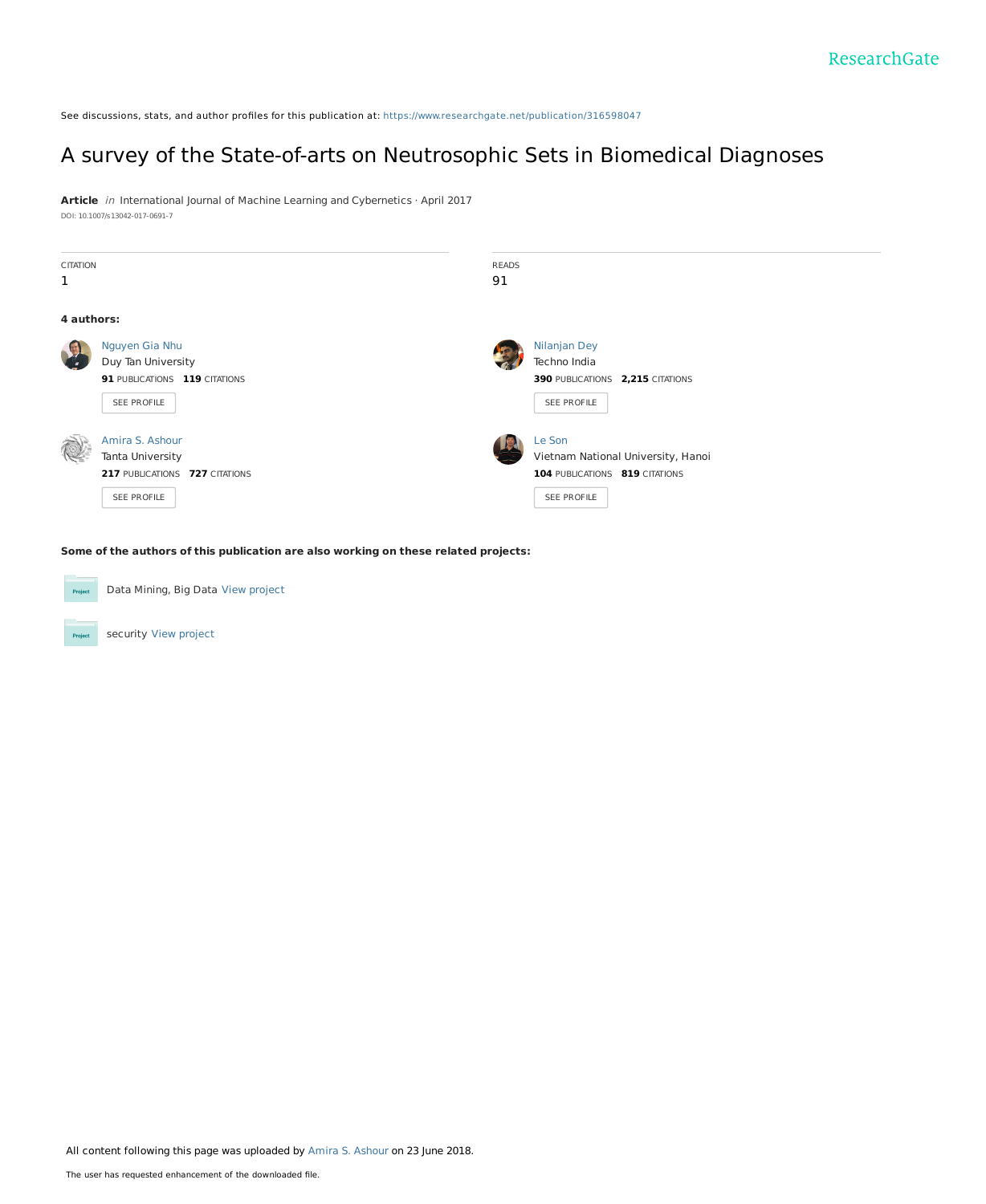See discussions, stats, and author profiles for this publication at: [https://www.researchgate.net/publication/316598047](https://www.researchgate.net/publication/316598047_A_survey_of_the_State-of-arts_on_Neutrosophic_Sets_in_Biomedical_Diagnoses?enrichId=rgreq-26ca31c21e850bca7d5e113c3d00744f-XXX&enrichSource=Y292ZXJQYWdlOzMxNjU5ODA0NztBUzo2NDA3NzI2NjM2ODkyMTdAMTUyOTc4MzUxNjkwMg%3D%3D&el=1_x_2&_esc=publicationCoverPdf)

# A survey of the State-of-arts on [Neutrosophic](https://www.researchgate.net/publication/316598047_A_survey_of_the_State-of-arts_on_Neutrosophic_Sets_in_Biomedical_Diagnoses?enrichId=rgreq-26ca31c21e850bca7d5e113c3d00744f-XXX&enrichSource=Y292ZXJQYWdlOzMxNjU5ODA0NztBUzo2NDA3NzI2NjM2ODkyMTdAMTUyOTc4MzUxNjkwMg%3D%3D&el=1_x_3&_esc=publicationCoverPdf) Sets in Biomedical Diagnoses

**Article** in International Journal of Machine Learning and Cybernetics · April 2017 DOI: 10.1007/s13042-017-0691-7

| <b>CITATION</b><br>1 |                                                                                      | <b>READS</b><br>91 |                                                                                               |  |
|----------------------|--------------------------------------------------------------------------------------|--------------------|-----------------------------------------------------------------------------------------------|--|
| 4 authors:           |                                                                                      |                    |                                                                                               |  |
|                      | Nguyen Gia Nhu<br>Duy Tan University<br>91 PUBLICATIONS 119 CITATIONS<br>SEE PROFILE |                    | <b>Nilanjan Dey</b><br>Techno India<br>390 PUBLICATIONS 2,215 CITATIONS<br>SEE PROFILE        |  |
|                      | Amira S. Ashour<br>Tanta University<br>217 PUBLICATIONS 727 CITATIONS<br>SEE PROFILE |                    | Le Son<br>Vietnam National University, Hanoi<br>104 PUBLICATIONS 819 CITATIONS<br>SEE PROFILE |  |

**Some of the authors of this publication are also working on these related projects:**



Data Mining, Big Data View [project](https://www.researchgate.net/project/Data-Mining-Big-Data?enrichId=rgreq-26ca31c21e850bca7d5e113c3d00744f-XXX&enrichSource=Y292ZXJQYWdlOzMxNjU5ODA0NztBUzo2NDA3NzI2NjM2ODkyMTdAMTUyOTc4MzUxNjkwMg%3D%3D&el=1_x_9&_esc=publicationCoverPdf)

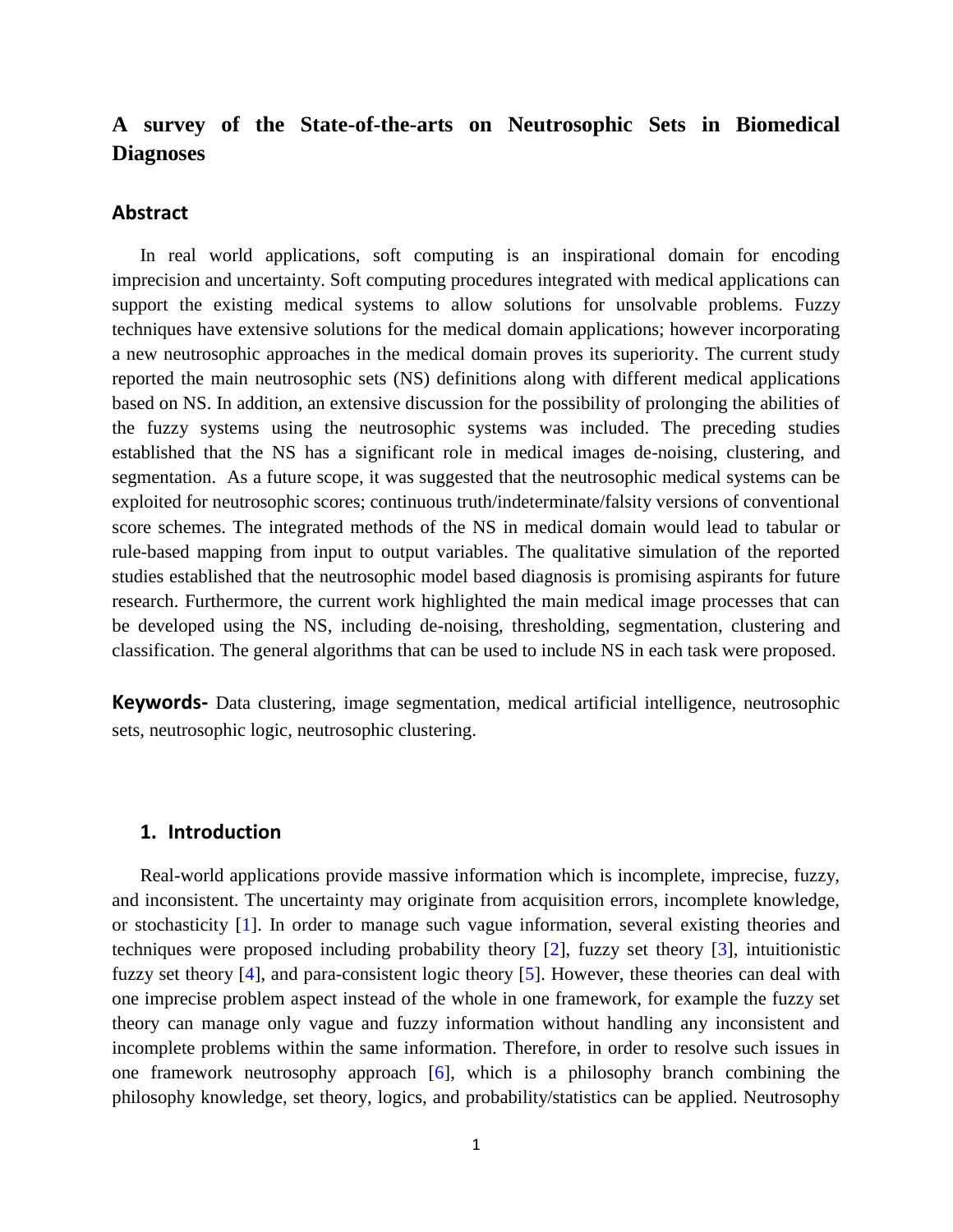# **A survey of the State-of-the-arts on Neutrosophic Sets in Biomedical Diagnoses**

### **Abstract**

In real world applications, soft computing is an inspirational domain for encoding imprecision and uncertainty. Soft computing procedures integrated with medical applications can support the existing medical systems to allow solutions for unsolvable problems. Fuzzy techniques have extensive solutions for the medical domain applications; however incorporating a new neutrosophic approaches in the medical domain proves its superiority. The current study reported the main neutrosophic sets (NS) definitions along with different medical applications based on NS. In addition, an extensive discussion for the possibility of prolonging the abilities of the fuzzy systems using the neutrosophic systems was included. The preceding studies established that the NS has a significant role in medical images de-noising, clustering, and segmentation. As a future scope, it was suggested that the neutrosophic medical systems can be exploited for neutrosophic scores; continuous truth/indeterminate/falsity versions of conventional score schemes. The integrated methods of the NS in medical domain would lead to tabular or rule-based mapping from input to output variables. The qualitative simulation of the reported studies established that the neutrosophic model based diagnosis is promising aspirants for future research. Furthermore, the current work highlighted the main medical image processes that can be developed using the NS, including de-noising, thresholding, segmentation, clustering and classification. The general algorithms that can be used to include NS in each task were proposed.

**Keywords-** Data clustering, image segmentation, medical artificial intelligence, neutrosophic sets, neutrosophic logic, neutrosophic clustering.

## **1. Introduction**

Real-world applications provide massive information which is incomplete, imprecise, fuzzy, and inconsistent. The uncertainty may originate from acquisition errors, incomplete knowledge, or stochasticity [1]. In order to manage such vague information, several existing theories and techniques were proposed including probability theory [2], fuzzy set theory [3], intuitionistic fuzzy set theory [4], and para-consistent logic theory [5]. However, these theories can deal with one imprecise problem aspect instead of the whole in one framework, for example the fuzzy set theory can manage only vague and fuzzy information without handling any inconsistent and incomplete problems within the same information. Therefore, in order to resolve such issues in one framework neutrosophy approach [6], which is a philosophy branch combining the philosophy knowledge, set theory, logics, and probability/statistics can be applied. Neutrosophy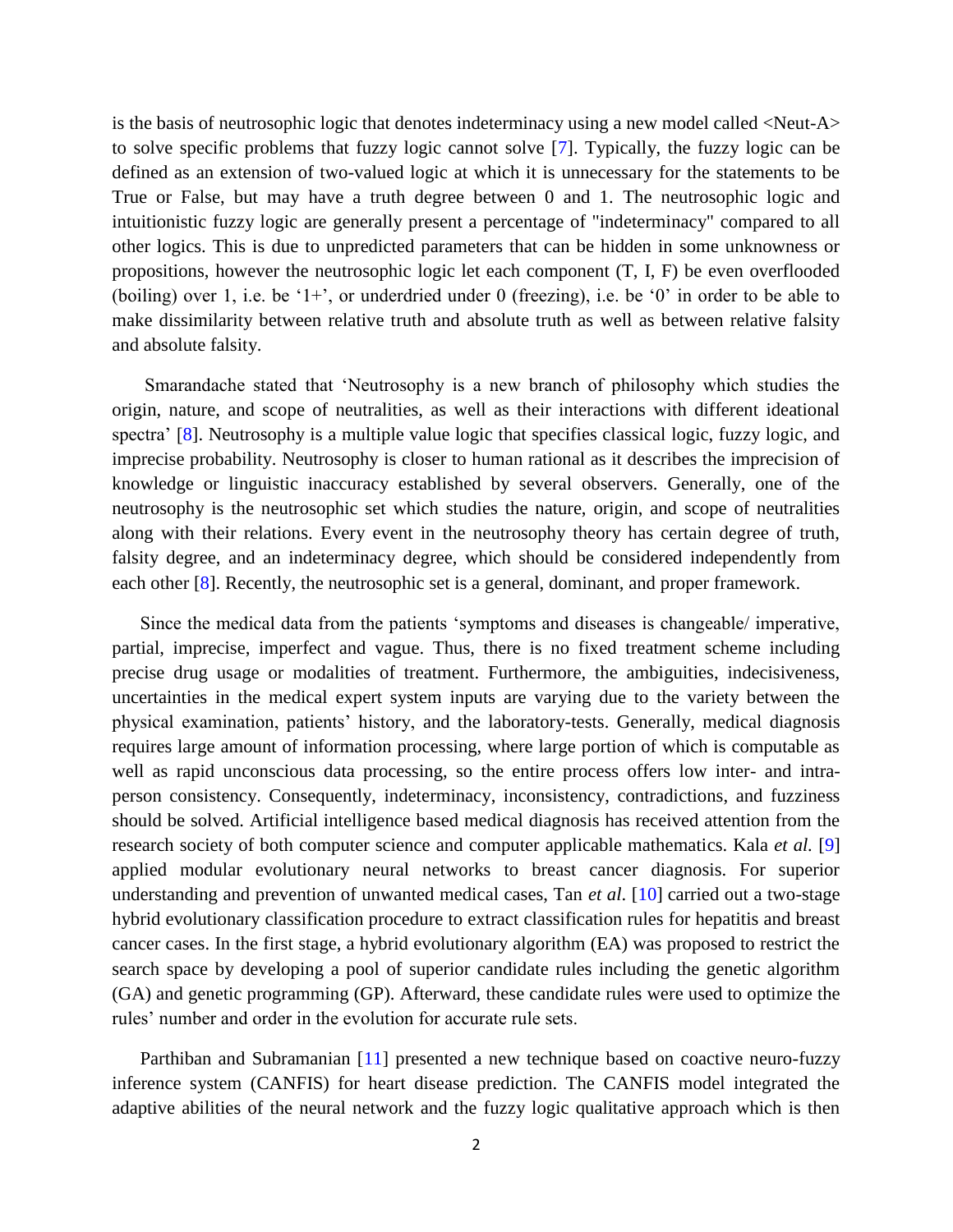is the basis of neutrosophic logic that denotes indeterminacy using a new model called <Neut-A> to solve specific problems that fuzzy logic cannot solve [7]. Typically, the fuzzy logic can be defined as an extension of two-valued logic at which it is unnecessary for the statements to be True or False, but may have a truth degree between 0 and 1. The neutrosophic logic and intuitionistic fuzzy logic are generally present a percentage of "indeterminacy" compared to all other logics. This is due to unpredicted parameters that can be hidden in some unknowness or propositions, however the neutrosophic logic let each component (T, I, F) be even overflooded (boiling) over 1, i.e. be "1+", or underdried under 0 (freezing), i.e. be "0" in order to be able to make dissimilarity between relative truth and absolute truth as well as between relative falsity and absolute falsity.

Smarandache stated that "Neutrosophy is a new branch of philosophy which studies the origin, nature, and scope of neutralities, as well as their interactions with different ideational spectra' [8]. Neutrosophy is a multiple value logic that specifies classical logic, fuzzy logic, and imprecise probability. Neutrosophy is closer to human rational as it describes the imprecision of knowledge or linguistic inaccuracy established by several observers. Generally, one of the neutrosophy is the neutrosophic set which studies the nature, origin, and scope of neutralities along with their relations. Every event in the neutrosophy theory has certain degree of truth, falsity degree, and an indeterminacy degree, which should be considered independently from each other [8]. Recently, the neutrosophic set is a general, dominant, and proper framework.

Since the medical data from the patients "symptoms and diseases is changeable/ imperative, partial, imprecise, imperfect and vague. Thus, there is no fixed treatment scheme including precise drug usage or modalities of treatment. Furthermore, the ambiguities, indecisiveness, uncertainties in the medical expert system inputs are varying due to the variety between the physical examination, patients" history, and the laboratory-tests. Generally, medical diagnosis requires large amount of information processing, where large portion of which is computable as well as rapid unconscious data processing, so the entire process offers low inter- and intraperson consistency. Consequently, indeterminacy, inconsistency, contradictions, and fuzziness should be solved. Artificial intelligence based medical diagnosis has received attention from the research society of both computer science and computer applicable mathematics. Kala *et al.* [9] applied modular evolutionary neural networks to breast cancer diagnosis. For superior understanding and prevention of unwanted medical cases, Tan *et al*. [10] carried out a two-stage hybrid evolutionary classification procedure to extract classification rules for hepatitis and breast cancer cases. In the first stage, a hybrid evolutionary algorithm (EA) was proposed to restrict the search space by developing a pool of superior candidate rules including the genetic algorithm (GA) and genetic programming (GP). Afterward, these candidate rules were used to optimize the rules' number and order in the evolution for accurate rule sets.

Parthiban and Subramanian [11] presented a new technique based on coactive neuro-fuzzy inference system (CANFIS) for heart disease prediction. The CANFIS model integrated the adaptive abilities of the neural network and the fuzzy logic qualitative approach which is then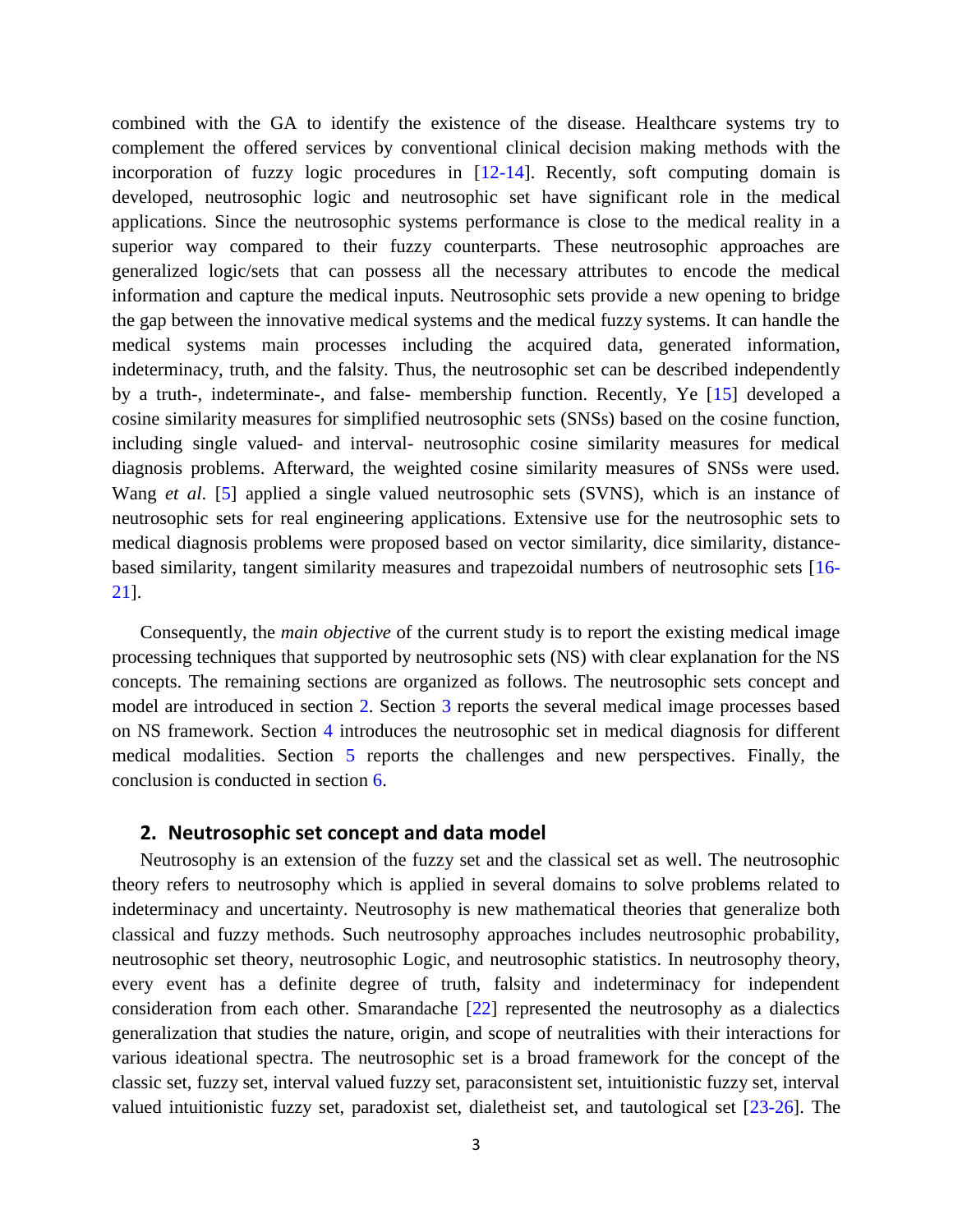combined with the GA to identify the existence of the disease. Healthcare systems try to complement the offered services by conventional clinical decision making methods with the incorporation of fuzzy logic procedures in  $[12-14]$ . Recently, soft computing domain is developed, neutrosophic logic and neutrosophic set have significant role in the medical applications. Since the neutrosophic systems performance is close to the medical reality in a superior way compared to their fuzzy counterparts. These neutrosophic approaches are generalized logic/sets that can possess all the necessary attributes to encode the medical information and capture the medical inputs. Neutrosophic sets provide a new opening to bridge the gap between the innovative medical systems and the medical fuzzy systems. It can handle the medical systems main processes including the acquired data, generated information, indeterminacy, truth, and the falsity. Thus, the neutrosophic set can be described independently by a truth-, indeterminate-, and false- membership function. Recently, Ye [15] developed a cosine similarity measures for simplified neutrosophic sets (SNSs) based on the cosine function, including single valued- and interval- neutrosophic cosine similarity measures for medical diagnosis problems. Afterward, the weighted cosine similarity measures of SNSs were used. Wang *et al*. [5] applied a single valued neutrosophic sets (SVNS), which is an instance of neutrosophic sets for real engineering applications. Extensive use for the neutrosophic sets to medical diagnosis problems were proposed based on vector similarity, dice similarity, distancebased similarity, tangent similarity measures and trapezoidal numbers of neutrosophic sets [16- 21].

Consequently, the *main objective* of the current study is to report the existing medical image processing techniques that supported by neutrosophic sets (NS) with clear explanation for the NS concepts. The remaining sections are organized as follows. The neutrosophic sets concept and model are introduced in section 2. Section 3 reports the several medical image processes based on NS framework. Section 4 introduces the neutrosophic set in medical diagnosis for different medical modalities. Section 5 reports the challenges and new perspectives. Finally, the conclusion is conducted in section 6.

## **2. Neutrosophic set concept and data model**

Neutrosophy is an extension of the fuzzy set and the classical set as well. The neutrosophic theory refers to neutrosophy which is applied in several domains to solve problems related to indeterminacy and uncertainty. Neutrosophy is new mathematical theories that generalize both classical and fuzzy methods. Such neutrosophy approaches includes neutrosophic probability, neutrosophic set theory, neutrosophic Logic, and neutrosophic statistics. In neutrosophy theory, every event has a definite degree of truth, falsity and indeterminacy for independent consideration from each other. Smarandache [22] represented the neutrosophy as a dialectics generalization that studies the nature, origin, and scope of neutralities with their interactions for various ideational spectra. The neutrosophic set is a broad framework for the concept of the classic set, fuzzy set, interval valued fuzzy set, paraconsistent set, intuitionistic fuzzy set, interval valued intuitionistic fuzzy set, paradoxist set, dialetheist set, and tautological set [23-26]. The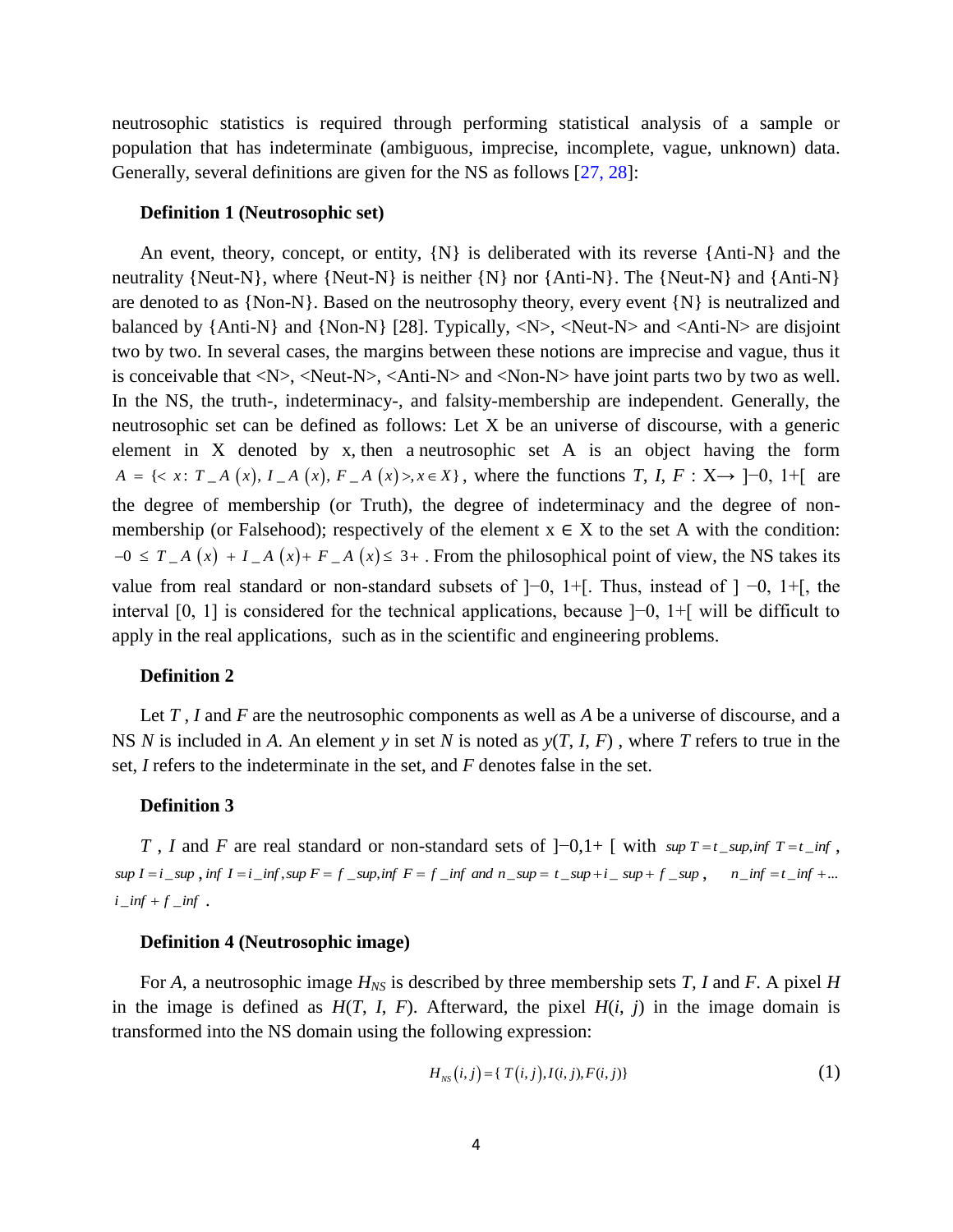neutrosophic statistics is required through performing statistical analysis of a sample or population that has indeterminate (ambiguous, imprecise, incomplete, vague, unknown) data. Generally, several definitions are given for the NS as follows [27, 28]:

#### **Definition 1 (Neutrosophic set)**

An event, theory, concept, or entity,  $\{N\}$  is deliberated with its reverse  $\{Anti-N\}$  and the neutrality {Neut-N}, where {Neut-N} is neither  $\{N\}$  nor  $\{Anti-N\}$ . The  $\{Neut-N\}$  and  $\{Anti-N\}$ are denoted to as {Non-N}. Based on the neutrosophy theory, every event {N} is neutralized and balanced by  $\{Anti-N\}$  and  $\{Non-N\}$  [28]. Typically,  $\langle N \rangle$ ,  $\langle Neut-N \rangle$  and  $\langle Anti-N \rangle$  are disjoint two by two. In several cases, the margins between these notions are imprecise and vague, thus it is conceivable that <N>, <Neut-N>, <Anti-N> and <Non-N> have joint parts two by two as well. In the NS, the truth-, indeterminacy-, and falsity-membership are independent. Generally, the neutrosophic set can be defined as follows: Let X be an universe of discourse, with a generic element in X denoted by x, then a neutrosophic set A is an object having the form  $A = \{ \langle x : T_A(x), I_A(x), F_A(x), \rangle, \, x \in X \}$ , where the functions *T*, *I*, *F* : X→ ]–0, 1+[ are the degree of membership (or Truth), the degree of indeterminacy and the degree of nonmembership (or Falsehood); respectively of the element  $x \in X$  to the set A with the condition: membership (or Falsehood); respectively of the element  $x \in X$  to the set A with the condition:<br> $-0 \le T_A(x) + I_A(x) + F_A(x) \le 3+$ . From the philosophical point of view, the NS takes its value from real standard or non-standard subsets of ]−0, 1+[. Thus, instead of ] −0, 1+[, the interval [0, 1] is considered for the technical applications, because ]−0, 1+[ will be difficult to apply in the real applications, such as in the scientific and engineering problems.

## **Definition 2**

Let *T*, *I* and *F* are the neutrosophic components as well as *A* be a universe of discourse, and a NS *N* is included in *A*. An element *y* in set *N* is noted as *y*(*T*, *I*, *F*) , where *T* refers to true in the set, *I* refers to the indeterminate in the set, and *F* denotes false in the set.

### **Definition 3**

*T*, *I* and *F* are real standard or non-standard sets of  $]-0,1+$  [ with  $\sup T = t \supseteq \inf T = t \inf T$ , *T*, *I* and *F* are real standard or non-standard sets of  $]-0,1+$  [ with  $sup T = t \supseteq sup inf T = t \supseteq inf$ ,  $sup I = i \supseteq inf \sup F = f \supseteq inf$  and  $n \supseteq sup = t \supseteq sup + i \supseteq sup f \supseteq sup$ ,  $n \inf = t \inf + ...$  $i\_inf + f\_inf$ .

#### **Definition 4 (Neutrosophic image)**

For *A*, a neutrosophic image  $H_{NS}$  is described by three membership sets *T*, *I* and *F*. A pixel *H* in the image is defined as  $H(T, I, F)$ . Afterward, the pixel  $H(i, j)$  in the image domain is transformed into the NS domain using the following expression:

$$
H_{NS}(i,j) = \{ T(i,j), I(i,j), F(i,j) \}
$$
 (1)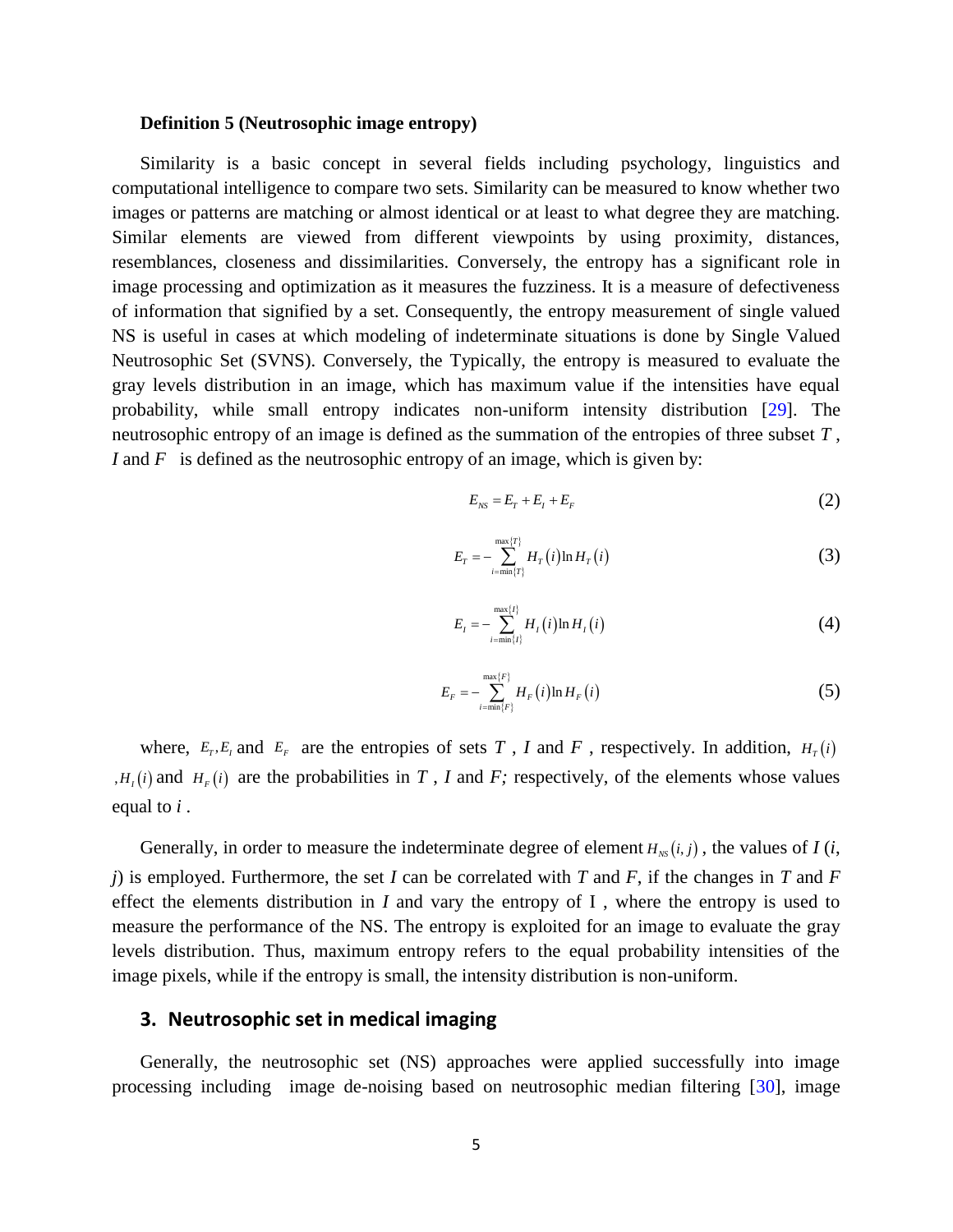#### **Definition 5 (Neutrosophic image entropy)**

Similarity is a basic concept in several fields including psychology, linguistics and computational intelligence to compare two sets. Similarity can be measured to know whether two images or patterns are matching or almost identical or at least to what degree they are matching. Similar elements are viewed from different viewpoints by using proximity, distances, resemblances, closeness and dissimilarities. Conversely, the entropy has a significant role in image processing and optimization as it measures the fuzziness. It is a measure of defectiveness of information that signified by a set. Consequently, the entropy measurement of single valued NS is useful in cases at which modeling of indeterminate situations is done by Single Valued Neutrosophic Set (SVNS). Conversely, the Typically, the entropy is measured to evaluate the gray levels distribution in an image, which has maximum value if the intensities have equal probability, while small entropy indicates non-uniform intensity distribution [29]. The neutrosophic entropy of an image is defined as the summation of the entropies of three subset *T* , *I* and *F* is defined as the neutrosophic entropy of an image, which is given by:

$$
E_{NS} = E_T + E_I + E_F \tag{2}
$$

$$
E_T = -\sum_{i=\min\{T\}}^{\max\{T\}} H_T(i) \ln H_T(i)
$$
 (3)

$$
E_{I} = -\sum_{i=\min\{I\}}^{\max\{I\}} H_{I}(i) \ln H_{I}(i)
$$
(4)

$$
E_F = -\sum_{i=\min\{F\}}^{\max\{F\}} H_F(i) \ln H_F(i)
$$
\n(5)

where,  $E_T$ ,  $E_T$  and  $E_T$  are the entropies of sets T, I and F, respectively. In addition,  $H_T(i)$  $H_I(i)$  and  $H_F(i)$  are the probabilities in *T*, *I* and *F*; respectively, of the elements whose values equal to *i* .

Generally, in order to measure the indeterminate degree of element  $H_{NS}(i, j)$ , the values of *I* (*i*,  $j$ ) is employed. Furthermore, the set *I* can be correlated with *T* and *F*, if the changes in *T* and *F* effect the elements distribution in *I* and vary the entropy of I , where the entropy is used to measure the performance of the NS. The entropy is exploited for an image to evaluate the gray levels distribution. Thus, maximum entropy refers to the equal probability intensities of the image pixels, while if the entropy is small, the intensity distribution is non-uniform.

## **3. Neutrosophic set in medical imaging**

Generally, the neutrosophic set (NS) approaches were applied successfully into image processing including image de-noising based on neutrosophic median filtering [30], image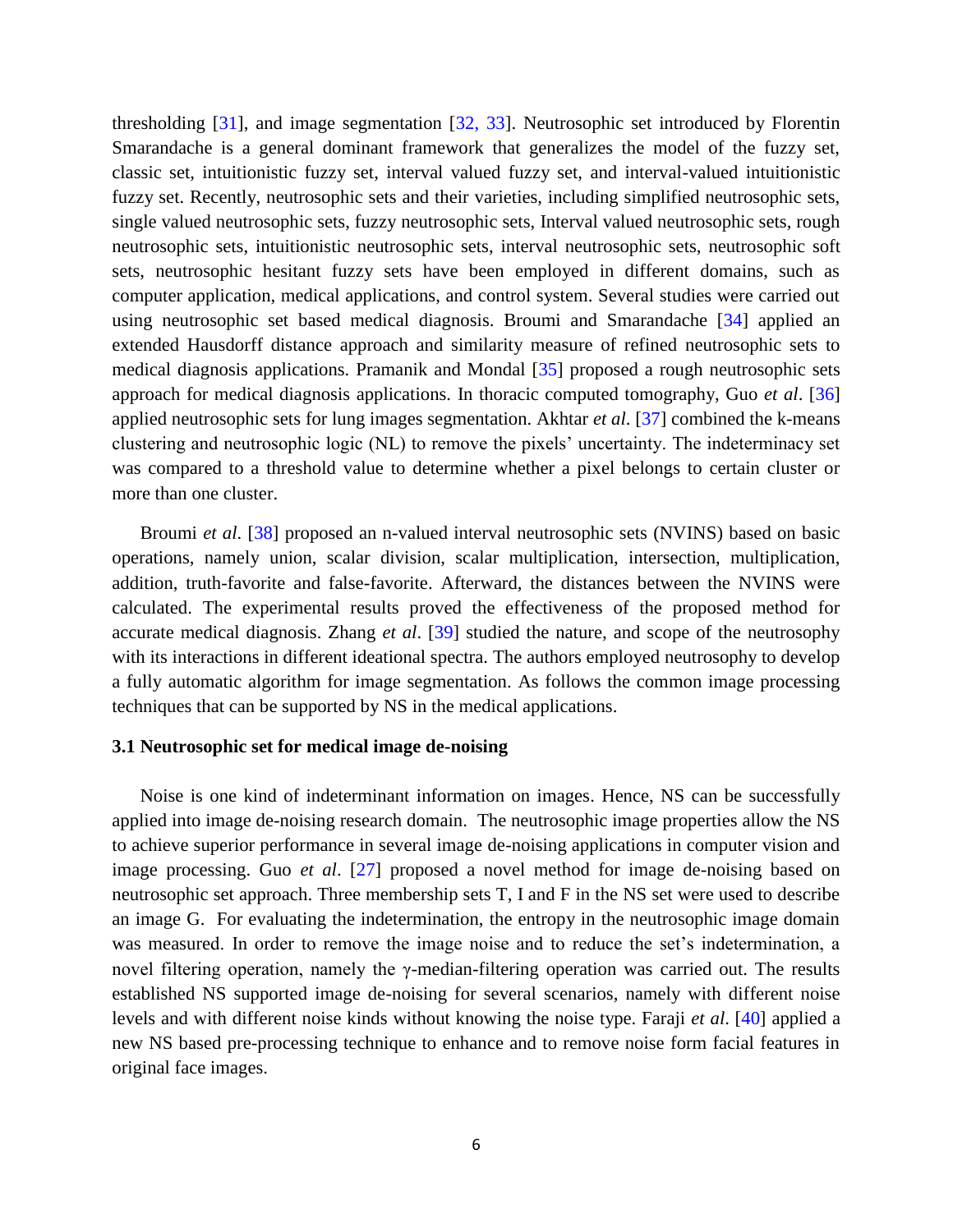thresholding [31], and image segmentation [32, 33]. Neutrosophic set introduced by Florentin Smarandache is a general dominant framework that generalizes the model of the fuzzy set, classic set, intuitionistic fuzzy set, interval valued fuzzy set, and interval-valued intuitionistic fuzzy set. Recently, neutrosophic sets and their varieties, including simplified neutrosophic sets, single valued neutrosophic sets, fuzzy neutrosophic sets, Interval valued neutrosophic sets, rough neutrosophic sets, intuitionistic neutrosophic sets, interval neutrosophic sets, neutrosophic soft sets, neutrosophic hesitant fuzzy sets have been employed in different domains, such as computer application, medical applications, and control system. Several studies were carried out using neutrosophic set based medical diagnosis. Broumi and Smarandache [34] applied an extended Hausdorff distance approach and similarity measure of refined neutrosophic sets to medical diagnosis applications. Pramanik and Mondal [35] proposed a rough neutrosophic sets approach for medical diagnosis applications. In thoracic computed tomography, Guo *et al*. [36] applied neutrosophic sets for lung images segmentation. Akhtar *et al*. [37] combined the k-means clustering and neutrosophic logic (NL) to remove the pixels" uncertainty. The indeterminacy set was compared to a threshold value to determine whether a pixel belongs to certain cluster or more than one cluster.

Broumi *et al*. [38] proposed an n-valued interval neutrosophic sets (NVINS) based on basic operations, namely union, scalar division, scalar multiplication, intersection, multiplication, addition, truth-favorite and false-favorite. Afterward, the distances between the NVINS were calculated. The experimental results proved the effectiveness of the proposed method for accurate medical diagnosis. Zhang *et al*. [39] studied the nature, and scope of the neutrosophy with its interactions in different ideational spectra. The authors employed neutrosophy to develop a fully automatic algorithm for image segmentation. As follows the common image processing techniques that can be supported by NS in the medical applications.

#### **3.1 Neutrosophic set for medical image de-noising**

Noise is one kind of indeterminant information on images. Hence, NS can be successfully applied into image de-noising research domain. The neutrosophic image properties allow the NS to achieve superior performance in several image de-noising applications in computer vision and image processing. Guo *et al*. [27] proposed a novel method for image de-noising based on neutrosophic set approach. Three membership sets T, I and F in the NS set were used to describe an image G. For evaluating the indetermination, the entropy in the neutrosophic image domain was measured. In order to remove the image noise and to reduce the set's indetermination, a novel filtering operation, namely the γ-median-filtering operation was carried out. The results established NS supported image de-noising for several scenarios, namely with different noise levels and with different noise kinds without knowing the noise type. Faraji *et al*. [40] applied a new NS based pre-processing technique to enhance and to remove noise form facial features in original face images.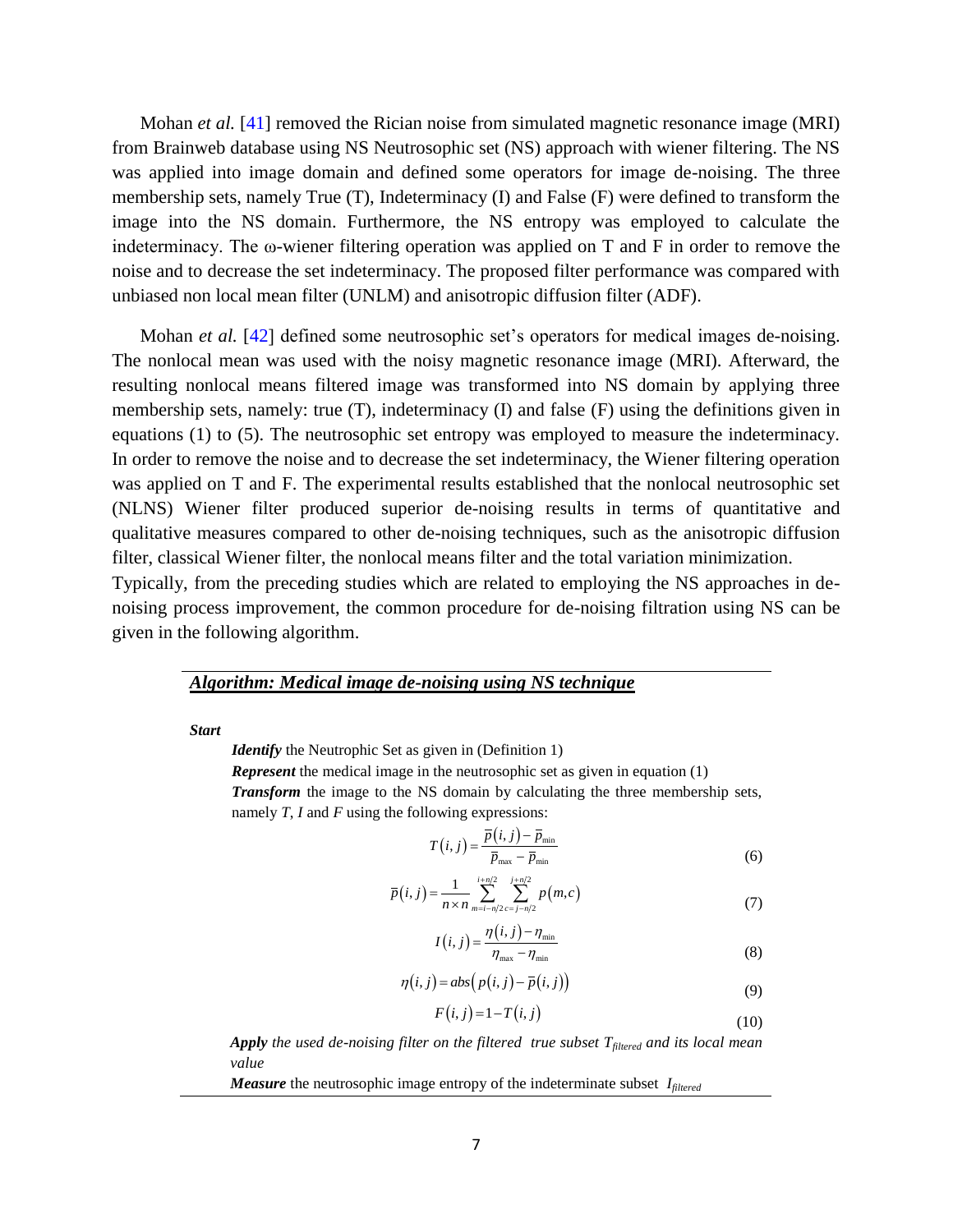Mohan *et al.* [41] removed the Rician noise from simulated magnetic resonance image (MRI) from Brainweb database using NS Neutrosophic set (NS) approach with wiener filtering. The NS was applied into image domain and defined some operators for image de-noising. The three membership sets, namely True (T), Indeterminacy (I) and False (F) were defined to transform the image into the NS domain. Furthermore, the NS entropy was employed to calculate the indeterminacy. The ω-wiener filtering operation was applied on T and F in order to remove the noise and to decrease the set indeterminacy. The proposed filter performance was compared with unbiased non local mean filter (UNLM) and anisotropic diffusion filter (ADF).

Mohan *et al.* [42] defined some neutrosophic set's operators for medical images de-noising. The nonlocal mean was used with the noisy magnetic resonance image (MRI). Afterward, the resulting nonlocal means filtered image was transformed into NS domain by applying three membership sets, namely: true (T), indeterminacy (I) and false (F) using the definitions given in equations (1) to (5). The neutrosophic set entropy was employed to measure the indeterminacy. In order to remove the noise and to decrease the set indeterminacy, the Wiener filtering operation was applied on T and F. The experimental results established that the nonlocal neutrosophic set (NLNS) Wiener filter produced superior de-noising results in terms of quantitative and qualitative measures compared to other de-noising techniques, such as the anisotropic diffusion filter, classical Wiener filter, the nonlocal means filter and the total variation minimization.

Typically, from the preceding studies which are related to employing the NS approaches in denoising process improvement, the common procedure for de-noising filtration using NS can be given in the following algorithm.

#### *Algorithm: Medical image de-noising using NS technique*

*Start*

*Identify* the Neutrophic Set as given in (Definition 1)

*Represent* the medical image in the neutrosophic set as given in equation (1)

*Transform* the image to the NS domain by calculating the three membership sets, namely *T*, *I* and *F* using the following expressions:

$$
T(i,j) = \frac{\overline{p}(i,j) - \overline{p}_{\min}}{\overline{p}_{\max} - \overline{p}_{\min}}
$$
(6)

$$
\overline{p}(i,j) = \frac{1}{n \times n} \sum_{m=i-n/2}^{i+n/2} \sum_{c=j-n/2}^{j+n/2} p(m,c)
$$
\n(7)

$$
I(i, j) = \frac{\eta(i, j) - \eta_{\min}}{\eta_{\max} - \eta_{\min}}
$$
\n(8)

$$
\eta(i,j) = abs\left(p(i,j) - \overline{p}(i,j)\right) \tag{9}
$$

$$
F(i,j)=1-T(i,j)
$$
\n<sup>(10)</sup>

*Apply the used de-noising filter on the filtered true subset Tfiltered and its local mean value*

*Measure* the neutrosophic image entropy of the indeterminate subset *Ifiltered*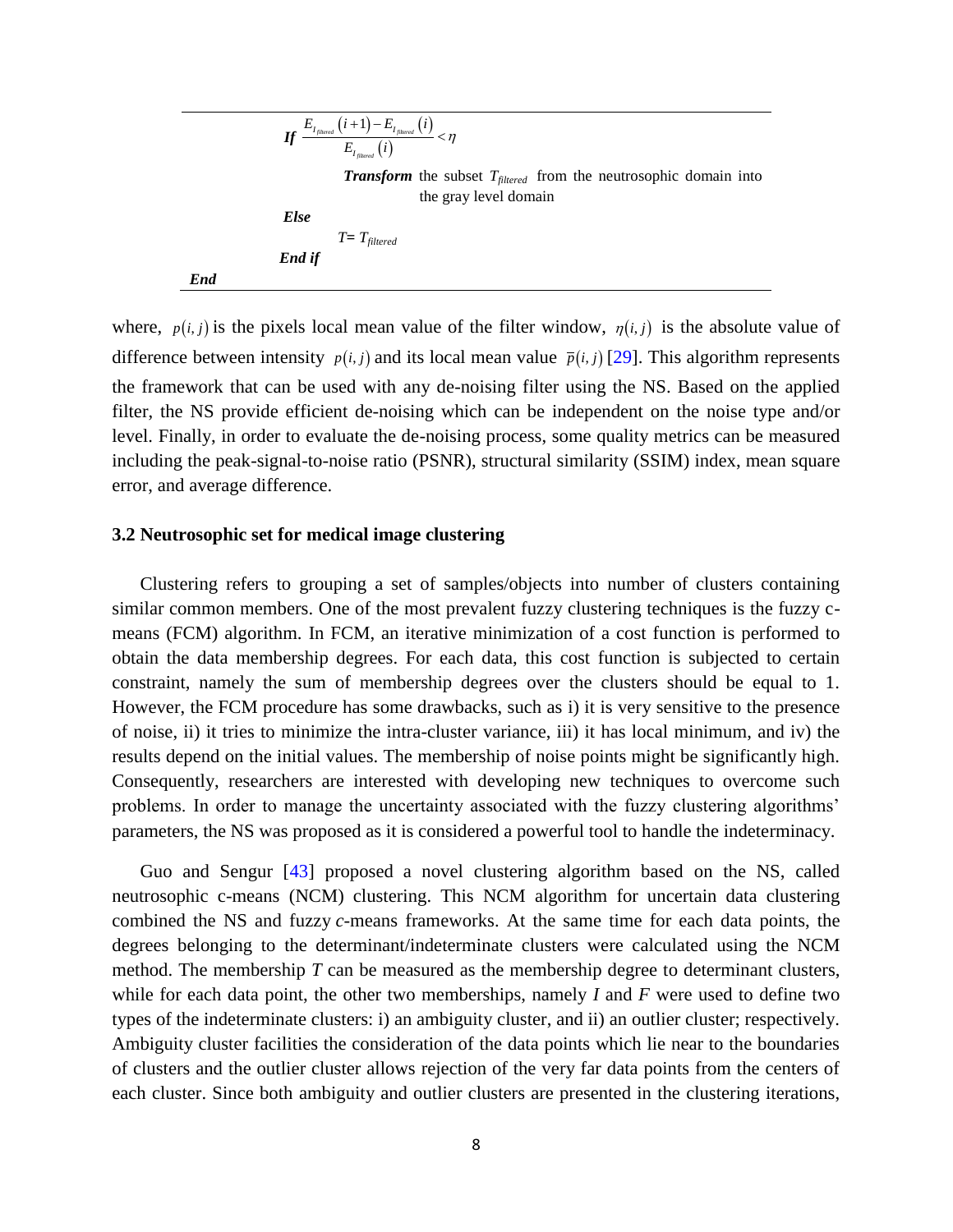|               | $\textit{\textbf{If}}~\frac{E_{I_{\textit{filtered}}}\left(i+1\right)-E_{I_{\textit{filtered}}}\left(i\right)}{E_{I_{\textit{filtered}}}\left(i\right)}<\eta$ |
|---------------|---------------------------------------------------------------------------------------------------------------------------------------------------------------|
|               | <b>Transform</b> the subset $T_{\text{filtered}}$ from the neutrosophic domain into<br>the gray level domain                                                  |
| Else          | $T = T_{filtered}$                                                                                                                                            |
| End if<br>End |                                                                                                                                                               |

where,  $p(i, j)$  is the pixels local mean value of the filter window,  $\eta(i, j)$  is the absolute value of difference between intensity  $p(i, j)$  and its local mean value  $\bar{p}(i, j)$  [29]. This algorithm represents the framework that can be used with any de-noising filter using the NS. Based on the applied filter, the NS provide efficient de-noising which can be independent on the noise type and/or level. Finally, in order to evaluate the de-noising process, some quality metrics can be measured including the peak-signal-to-noise ratio (PSNR), structural similarity (SSIM) index, mean square error, and average difference.

#### **3.2 Neutrosophic set for medical image clustering**

Clustering refers to grouping a set of samples/objects into number of clusters containing similar common members. One of the most prevalent fuzzy clustering techniques is the fuzzy cmeans (FCM) algorithm. In FCM, an iterative minimization of a cost function is performed to obtain the data membership degrees. For each data, this cost function is subjected to certain constraint, namely the sum of membership degrees over the clusters should be equal to 1. However, the FCM procedure has some drawbacks, such as i) it is very sensitive to the presence of noise, ii) it tries to minimize the intra-cluster variance, iii) it has local minimum, and iv) the results depend on the initial values. The membership of noise points might be significantly high. Consequently, researchers are interested with developing new techniques to overcome such problems. In order to manage the uncertainty associated with the fuzzy clustering algorithms" parameters, the NS was proposed as it is considered a powerful tool to handle the indeterminacy.

Guo and Sengur [43] proposed a novel clustering algorithm based on the NS, called neutrosophic c-means (NCM) clustering. This NCM algorithm for uncertain data clustering combined the NS and fuzzy *c*-means frameworks. At the same time for each data points, the degrees belonging to the determinant/indeterminate clusters were calculated using the NCM method. The membership *T* can be measured as the membership degree to determinant clusters, while for each data point, the other two memberships, namely *I* and *F* were used to define two types of the indeterminate clusters: i) an ambiguity cluster, and ii) an outlier cluster; respectively. Ambiguity cluster facilities the consideration of the data points which lie near to the boundaries of clusters and the outlier cluster allows rejection of the very far data points from the centers of each cluster. Since both ambiguity and outlier clusters are presented in the clustering iterations,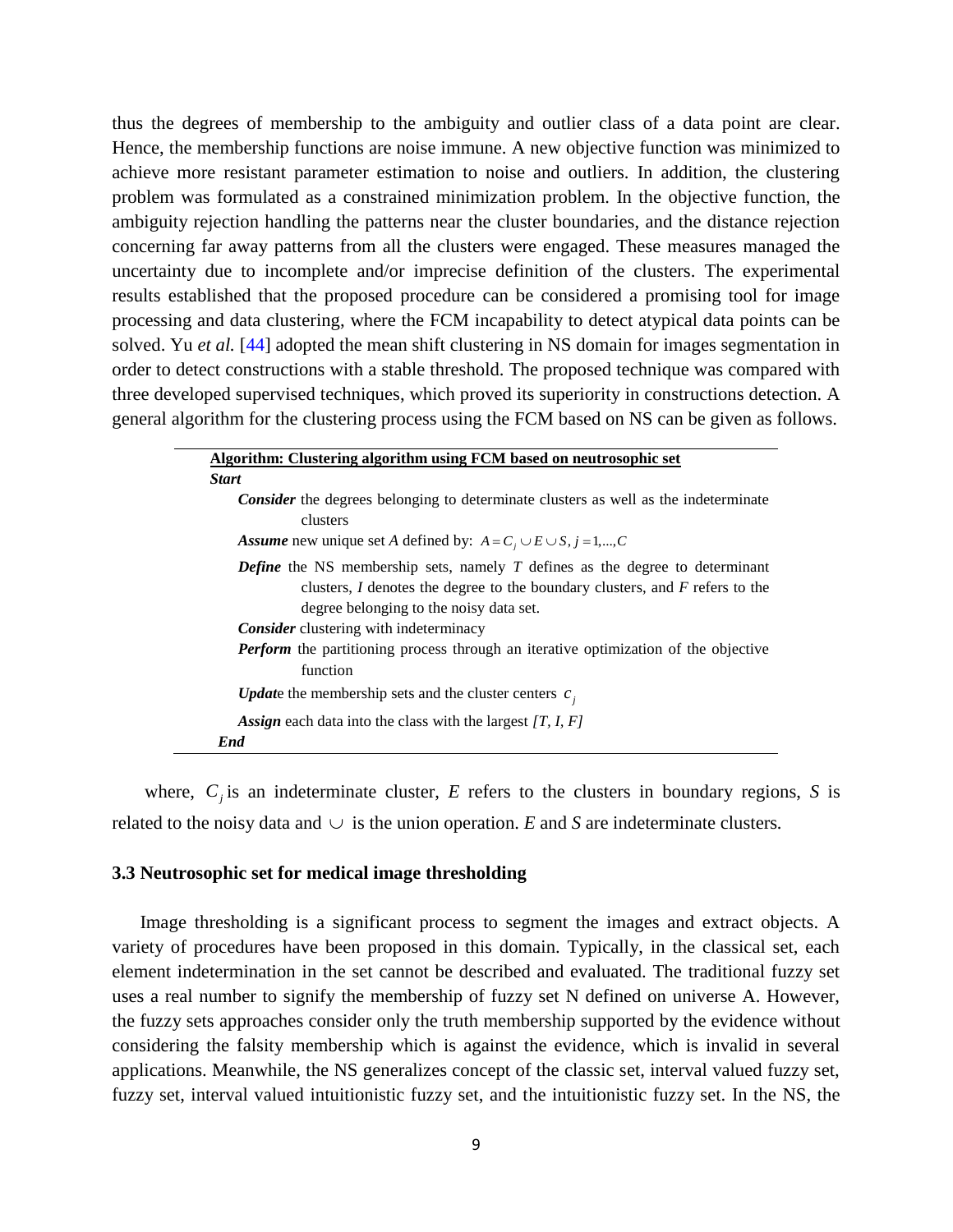thus the degrees of membership to the ambiguity and outlier class of a data point are clear. Hence, the membership functions are noise immune. A new objective function was minimized to achieve more resistant parameter estimation to noise and outliers. In addition, the clustering problem was formulated as a constrained minimization problem. In the objective function, the ambiguity rejection handling the patterns near the cluster boundaries, and the distance rejection concerning far away patterns from all the clusters were engaged. These measures managed the uncertainty due to incomplete and/or imprecise definition of the clusters. The experimental results established that the proposed procedure can be considered a promising tool for image processing and data clustering, where the FCM incapability to detect atypical data points can be solved. Yu *et al.* [44] adopted the mean shift clustering in NS domain for images segmentation in order to detect constructions with a stable threshold. The proposed technique was compared with three developed supervised techniques, which proved its superiority in constructions detection. A general algorithm for the clustering process using the FCM based on NS can be given as follows.

| <b>Start</b> | Algorithm: Clustering algorithm using FCM based on neutrosophic set                                                                                                                                                                                                 |
|--------------|---------------------------------------------------------------------------------------------------------------------------------------------------------------------------------------------------------------------------------------------------------------------|
|              | <b>Consider</b> the degrees belonging to determinate clusters as well as the indeterminate<br>clusters                                                                                                                                                              |
|              | <b>Assume</b> new unique set A defined by: $A = C_i \cup E \cup S, j = 1, , C$                                                                                                                                                                                      |
|              | <b>Define</b> the NS membership sets, namely T defines as the degree to determinant<br>clusters, $I$ denotes the degree to the boundary clusters, and $F$ refers to the<br>degree belonging to the noisy data set.<br><b>Consider</b> clustering with indeterminacy |
|              | <b>Perform</b> the partitioning process through an iterative optimization of the objective<br>function                                                                                                                                                              |
|              | <b><i>Update</i></b> the membership sets and the cluster centers $c_i$                                                                                                                                                                                              |
|              | <b>Assign</b> each data into the class with the largest $[T, I, F]$                                                                                                                                                                                                 |
| End          |                                                                                                                                                                                                                                                                     |

where,  $C_j$  is an indeterminate cluster, *E* refers to the clusters in boundary regions, *S* is related to the noisy data and  $\cup$  is the union operation. *E* and *S* are indeterminate clusters.

#### **3.3 Neutrosophic set for medical image thresholding**

Image thresholding is a significant process to segment the images and extract objects. A variety of procedures have been proposed in this domain. Typically, in the classical set, each element indetermination in the set cannot be described and evaluated. The traditional fuzzy set uses a real number to signify the membership of fuzzy set N defined on universe A. However, the fuzzy sets approaches consider only the truth membership supported by the evidence without considering the falsity membership which is against the evidence, which is invalid in several applications. Meanwhile, the NS generalizes concept of the classic set, interval valued fuzzy set, fuzzy set, interval valued intuitionistic fuzzy set, and the intuitionistic fuzzy set. In the NS, the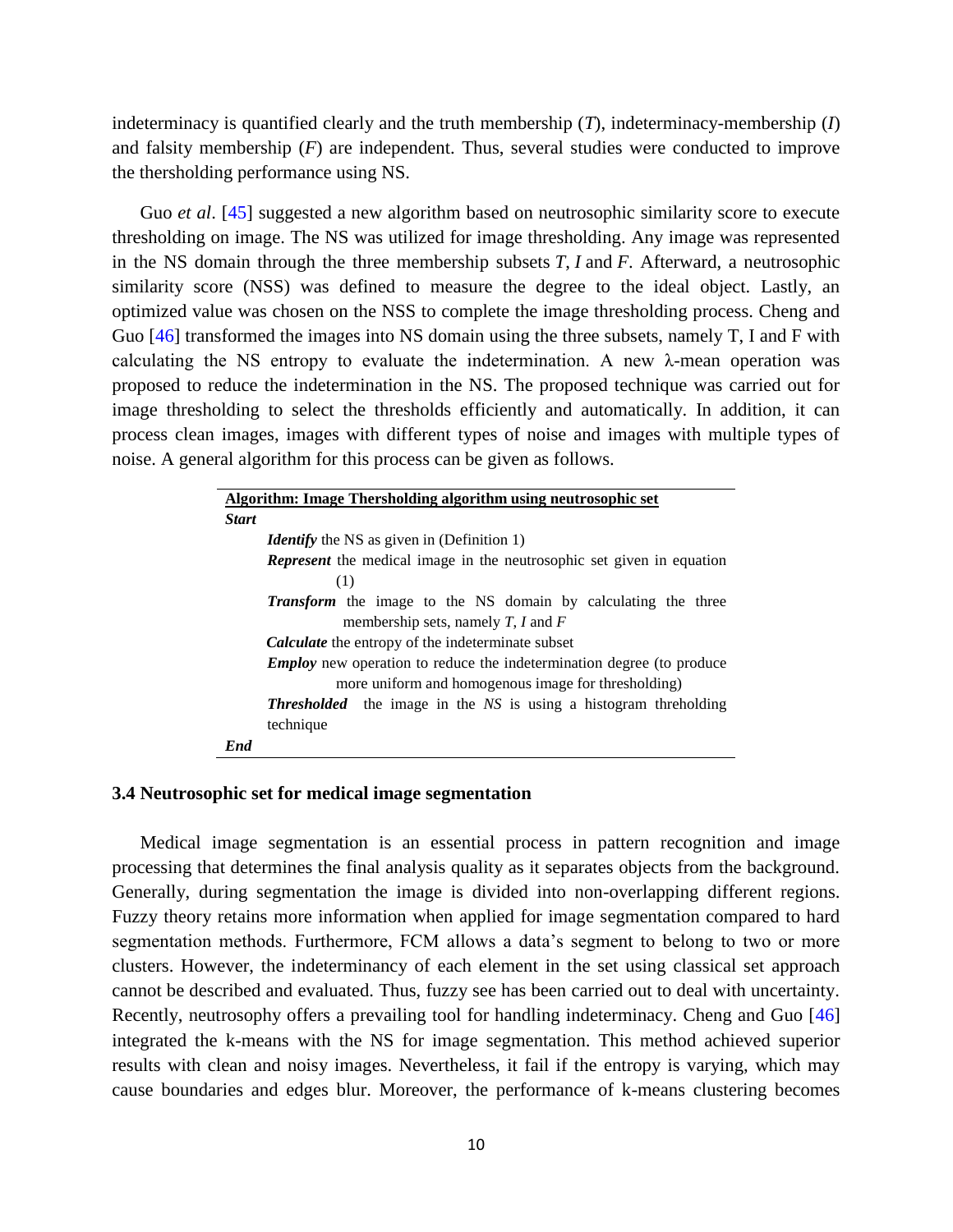indeterminacy is quantified clearly and the truth membership (*T*), indeterminacy-membership (*I*) and falsity membership (*F*) are independent. Thus, several studies were conducted to improve the thersholding performance using NS.

Guo *et al*. [45] suggested a new algorithm based on neutrosophic similarity score to execute thresholding on image. The NS was utilized for image thresholding. Any image was represented in the NS domain through the three membership subsets *T*, *I* and *F*. Afterward, a neutrosophic similarity score (NSS) was defined to measure the degree to the ideal object. Lastly, an optimized value was chosen on the NSS to complete the image thresholding process. Cheng and Guo [46] transformed the images into NS domain using the three subsets, namely T, I and F with calculating the NS entropy to evaluate the indetermination. A new λ-mean operation was proposed to reduce the indetermination in the NS. The proposed technique was carried out for image thresholding to select the thresholds efficiently and automatically. In addition, it can process clean images, images with different types of noise and images with multiple types of noise. A general algorithm for this process can be given as follows.

| Algorithm: Image Thersholding algorithm using neutrosophic set               |  |  |  |  |  |
|------------------------------------------------------------------------------|--|--|--|--|--|
| <b>Start</b>                                                                 |  |  |  |  |  |
| <i>Identify</i> the NS as given in (Definition 1)                            |  |  |  |  |  |
| <b>Represent</b> the medical image in the neutrosophic set given in equation |  |  |  |  |  |
| (1)                                                                          |  |  |  |  |  |
| <b>Transform</b> the image to the NS domain by calculating the three         |  |  |  |  |  |
| membership sets, namely $T$ , I and F                                        |  |  |  |  |  |
| <b>Calculate</b> the entropy of the indeterminate subset                     |  |  |  |  |  |
| <b>Employ</b> new operation to reduce the indetermination degree (to produce |  |  |  |  |  |
| more uniform and homogenous image for thresholding)                          |  |  |  |  |  |
| <b>Thresholded</b> the image in the NS is using a histogram threholding      |  |  |  |  |  |
| technique                                                                    |  |  |  |  |  |
| <b>End</b>                                                                   |  |  |  |  |  |

#### **3.4 Neutrosophic set for medical image segmentation**

Medical image segmentation is an essential process in pattern recognition and image processing that determines the final analysis quality as it separates objects from the background. Generally, during segmentation the image is divided into non-overlapping different regions. Fuzzy theory retains more information when applied for image segmentation compared to hard segmentation methods. Furthermore, FCM allows a data"s segment to belong to two or more clusters. However, the indeterminancy of each element in the set using classical set approach cannot be described and evaluated. Thus, fuzzy see has been carried out to deal with uncertainty. Recently, neutrosophy offers a prevailing tool for handling indeterminacy. Cheng and Guo [46] integrated the k-means with the NS for image segmentation. This method achieved superior results with clean and noisy images. Nevertheless, it fail if the entropy is varying, which may cause boundaries and edges blur. Moreover, the performance of k-means clustering becomes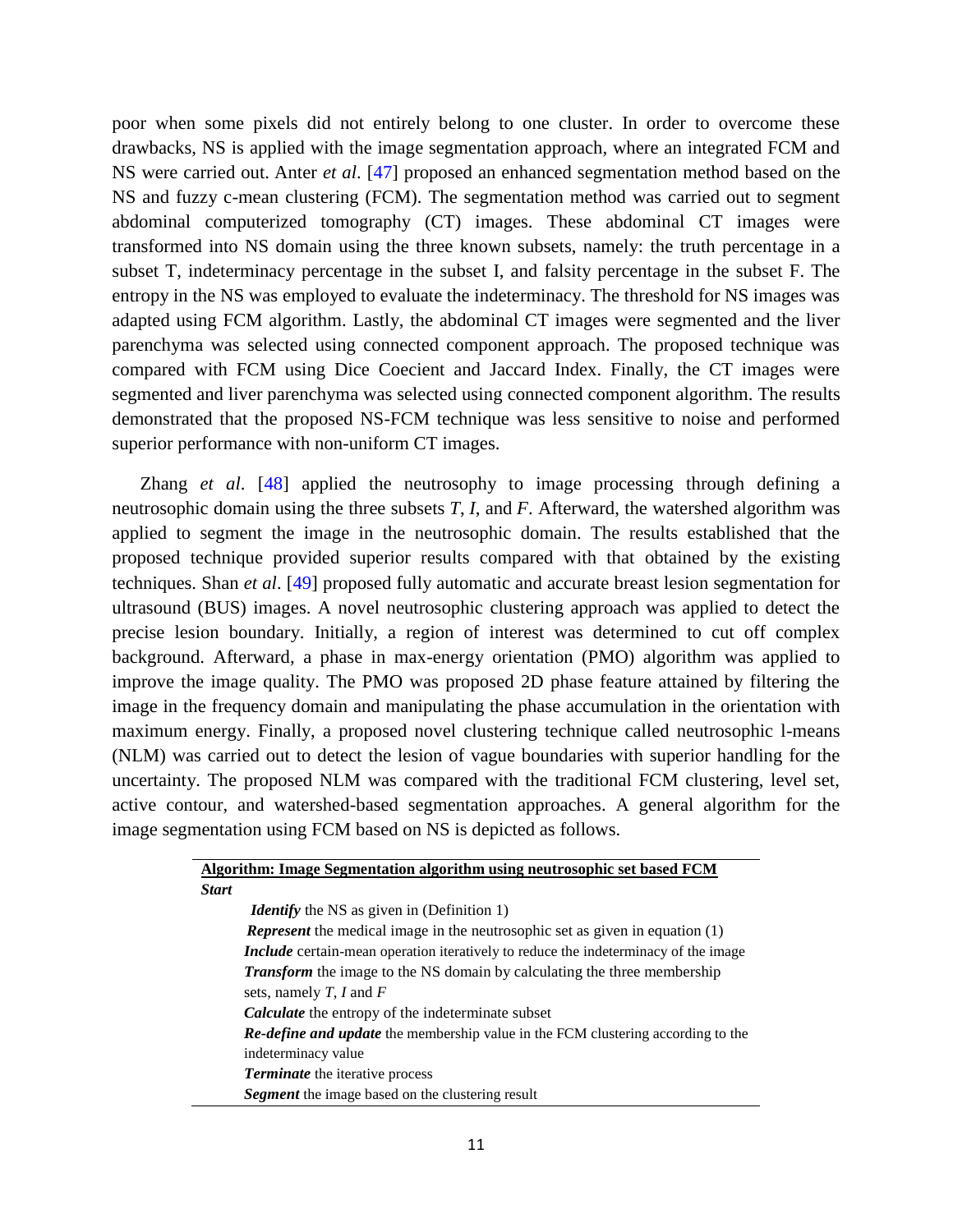poor when some pixels did not entirely belong to one cluster. In order to overcome these drawbacks, NS is applied with the image segmentation approach, where an integrated FCM and NS were carried out. Anter *et al*. [47] proposed an enhanced segmentation method based on the NS and fuzzy c-mean clustering (FCM). The segmentation method was carried out to segment abdominal computerized tomography (CT) images. These abdominal CT images were transformed into NS domain using the three known subsets, namely: the truth percentage in a subset T, indeterminacy percentage in the subset I, and falsity percentage in the subset F. The entropy in the NS was employed to evaluate the indeterminacy. The threshold for NS images was adapted using FCM algorithm. Lastly, the abdominal CT images were segmented and the liver parenchyma was selected using connected component approach. The proposed technique was compared with FCM using Dice Coecient and Jaccard Index. Finally, the CT images were segmented and liver parenchyma was selected using connected component algorithm. The results demonstrated that the proposed NS-FCM technique was less sensitive to noise and performed superior performance with non-uniform CT images.

Zhang *et al*. [48] applied the neutrosophy to image processing through defining a neutrosophic domain using the three subsets *T*, *I*, and *F*. Afterward, the watershed algorithm was applied to segment the image in the neutrosophic domain. The results established that the proposed technique provided superior results compared with that obtained by the existing techniques. Shan *et al*. [49] proposed fully automatic and accurate breast lesion segmentation for ultrasound (BUS) images. A novel neutrosophic clustering approach was applied to detect the precise lesion boundary. Initially, a region of interest was determined to cut off complex background. Afterward, a phase in max-energy orientation (PMO) algorithm was applied to improve the image quality. The PMO was proposed 2D phase feature attained by filtering the image in the frequency domain and manipulating the phase accumulation in the orientation with maximum energy. Finally, a proposed novel clustering technique called neutrosophic l-means (NLM) was carried out to detect the lesion of vague boundaries with superior handling for the uncertainty. The proposed NLM was compared with the traditional FCM clustering, level set, active contour, and watershed-based segmentation approaches. A general algorithm for the image segmentation using FCM based on NS is depicted as follows.

| Algorithm: Image Segmentation algorithm using neutrosophic set based FCM                   |
|--------------------------------------------------------------------------------------------|
| Start                                                                                      |
| <i>Identify</i> the NS as given in (Definition 1)                                          |
| <b>Represent</b> the medical image in the neutrosophic set as given in equation (1)        |
| <i>Include</i> certain-mean operation iteratively to reduce the indeterminacy of the image |
| <b>Transform</b> the image to the NS domain by calculating the three membership            |
| sets, namely $T$ , $I$ and $F$                                                             |
| <b>Calculate</b> the entropy of the indeterminate subset                                   |
| <b>Re-define and update</b> the membership value in the FCM clustering according to the    |
| indeterminacy value                                                                        |
| <b>Terminate</b> the iterative process                                                     |
| <b>Segment</b> the image based on the clustering result                                    |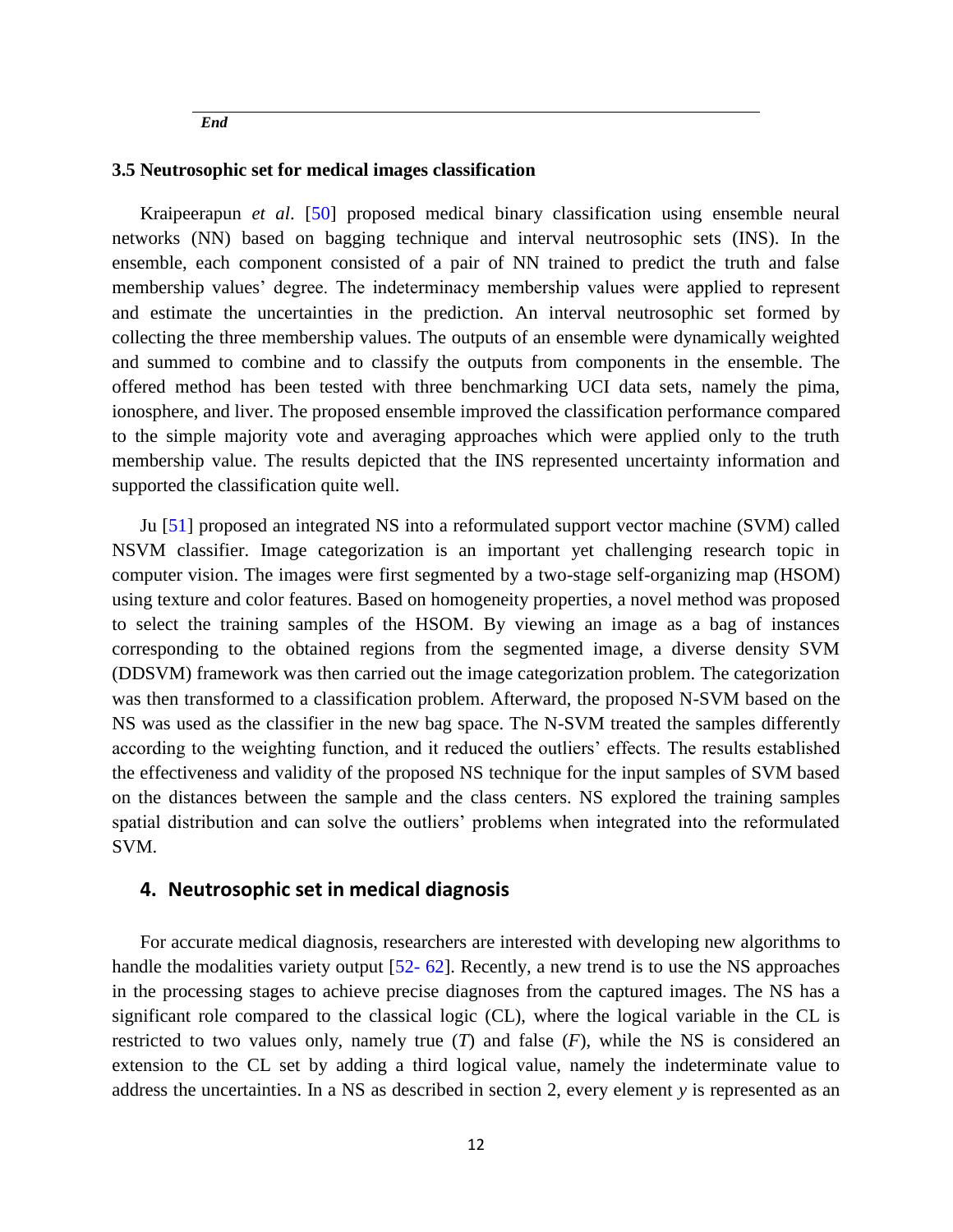*End*

## **3.5 Neutrosophic set for medical images classification**

Kraipeerapun *et al*. [50] proposed medical binary classification using ensemble neural networks (NN) based on bagging technique and interval neutrosophic sets (INS). In the ensemble, each component consisted of a pair of NN trained to predict the truth and false membership values' degree. The indeterminacy membership values were applied to represent and estimate the uncertainties in the prediction. An interval neutrosophic set formed by collecting the three membership values. The outputs of an ensemble were dynamically weighted and summed to combine and to classify the outputs from components in the ensemble. The offered method has been tested with three benchmarking UCI data sets, namely the pima, ionosphere, and liver. The proposed ensemble improved the classification performance compared to the simple majority vote and averaging approaches which were applied only to the truth membership value. The results depicted that the INS represented uncertainty information and supported the classification quite well.

Ju [51] proposed an integrated NS into a reformulated support vector machine (SVM) called NSVM classifier. Image categorization is an important yet challenging research topic in computer vision. The images were first segmented by a two-stage self-organizing map (HSOM) using texture and color features. Based on homogeneity properties, a novel method was proposed to select the training samples of the HSOM. By viewing an image as a bag of instances corresponding to the obtained regions from the segmented image, a diverse density SVM (DDSVM) framework was then carried out the image categorization problem. The categorization was then transformed to a classification problem. Afterward, the proposed N-SVM based on the NS was used as the classifier in the new bag space. The N-SVM treated the samples differently according to the weighting function, and it reduced the outliers' effects. The results established the effectiveness and validity of the proposed NS technique for the input samples of SVM based on the distances between the sample and the class centers. NS explored the training samples spatial distribution and can solve the outliers" problems when integrated into the reformulated SVM.

## **4. Neutrosophic set in medical diagnosis**

For accurate medical diagnosis, researchers are interested with developing new algorithms to handle the modalities variety output [52- 62]. Recently, a new trend is to use the NS approaches in the processing stages to achieve precise diagnoses from the captured images. The NS has a significant role compared to the classical logic (CL), where the logical variable in the CL is restricted to two values only, namely true  $(T)$  and false  $(F)$ , while the NS is considered an extension to the CL set by adding a third logical value, namely the indeterminate value to address the uncertainties. In a NS as described in section 2, every element *y* is represented as an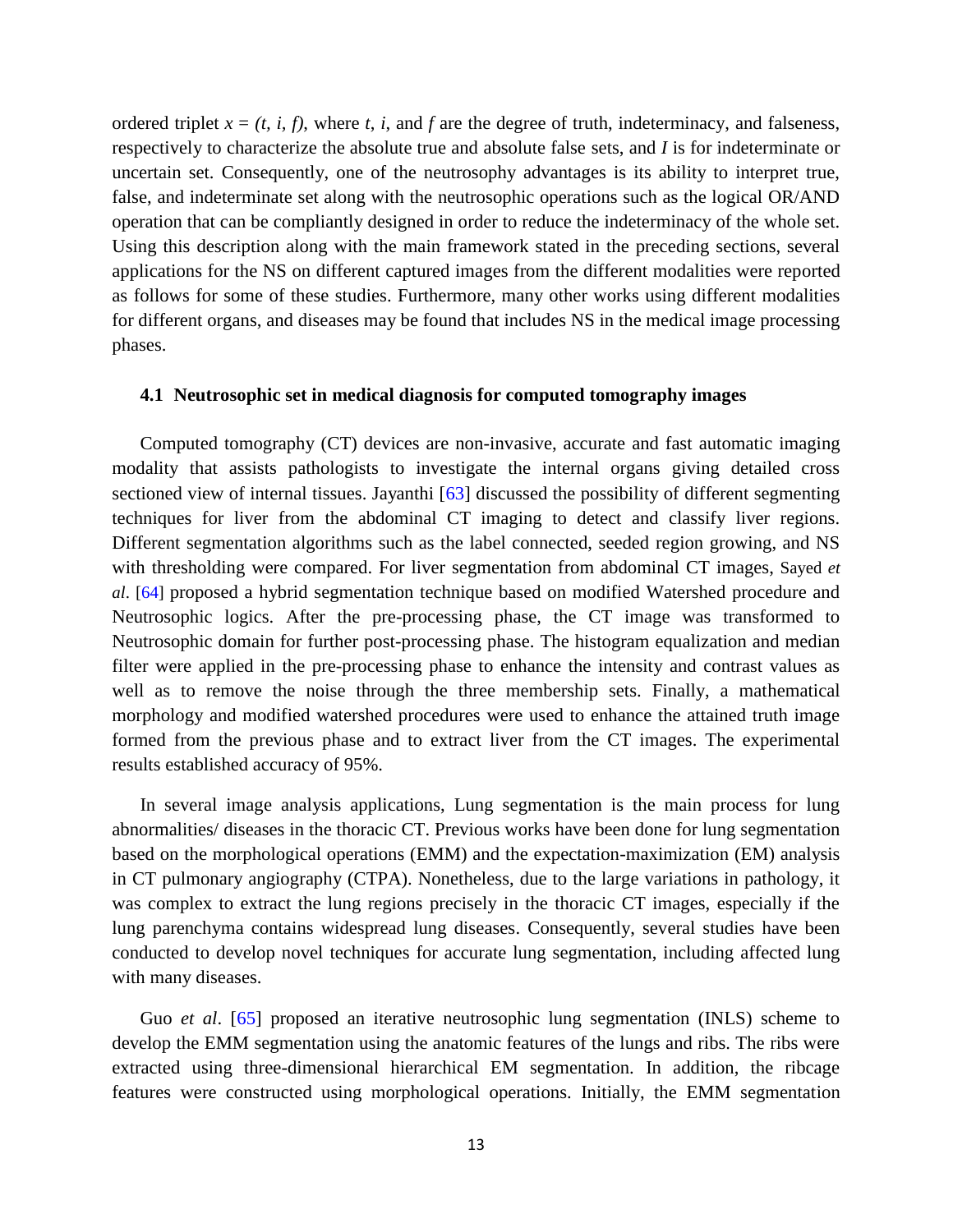ordered triplet  $x = (t, i, f)$ , where  $t, i$ , and  $f$  are the degree of truth, indeterminacy, and falseness, respectively to characterize the absolute true and absolute false sets, and *I* is for indeterminate or uncertain set. Consequently, one of the neutrosophy advantages is its ability to interpret true, false, and indeterminate set along with the neutrosophic operations such as the logical OR/AND operation that can be compliantly designed in order to reduce the indeterminacy of the whole set. Using this description along with the main framework stated in the preceding sections, several applications for the NS on different captured images from the different modalities were reported as follows for some of these studies. Furthermore, many other works using different modalities for different organs, and diseases may be found that includes NS in the medical image processing phases.

#### **4.1 Neutrosophic set in medical diagnosis for computed tomography images**

Computed tomography (CT) devices are non-invasive, accurate and fast automatic imaging modality that assists pathologists to investigate the internal organs giving detailed cross sectioned view of internal tissues. Jayanthi [63] discussed the possibility of different segmenting techniques for liver from the abdominal CT imaging to detect and classify liver regions. Different segmentation algorithms such as the label connected, seeded region growing, and NS with thresholding were compared. For liver segmentation from abdominal CT images, Sayed *et al*. [64] proposed a hybrid segmentation technique based on modified Watershed procedure and Neutrosophic logics. After the pre-processing phase, the CT image was transformed to Neutrosophic domain for further post-processing phase. The histogram equalization and median filter were applied in the pre-processing phase to enhance the intensity and contrast values as well as to remove the noise through the three membership sets. Finally, a mathematical morphology and modified watershed procedures were used to enhance the attained truth image formed from the previous phase and to extract liver from the CT images. The experimental results established accuracy of 95%.

In several image analysis applications, Lung segmentation is the main process for lung abnormalities/ diseases in the thoracic CT. Previous works have been done for lung segmentation based on the morphological operations (EMM) and the expectation-maximization (EM) analysis in CT pulmonary angiography (CTPA). Nonetheless, due to the large variations in pathology, it was complex to extract the lung regions precisely in the thoracic CT images, especially if the lung parenchyma contains widespread lung diseases. Consequently, several studies have been conducted to develop novel techniques for accurate lung segmentation, including affected lung with many diseases.

Guo *et al*. [65] proposed an iterative neutrosophic lung segmentation (INLS) scheme to develop the EMM segmentation using the anatomic features of the lungs and ribs. The ribs were extracted using three-dimensional hierarchical EM segmentation. In addition, the ribcage features were constructed using morphological operations. Initially, the EMM segmentation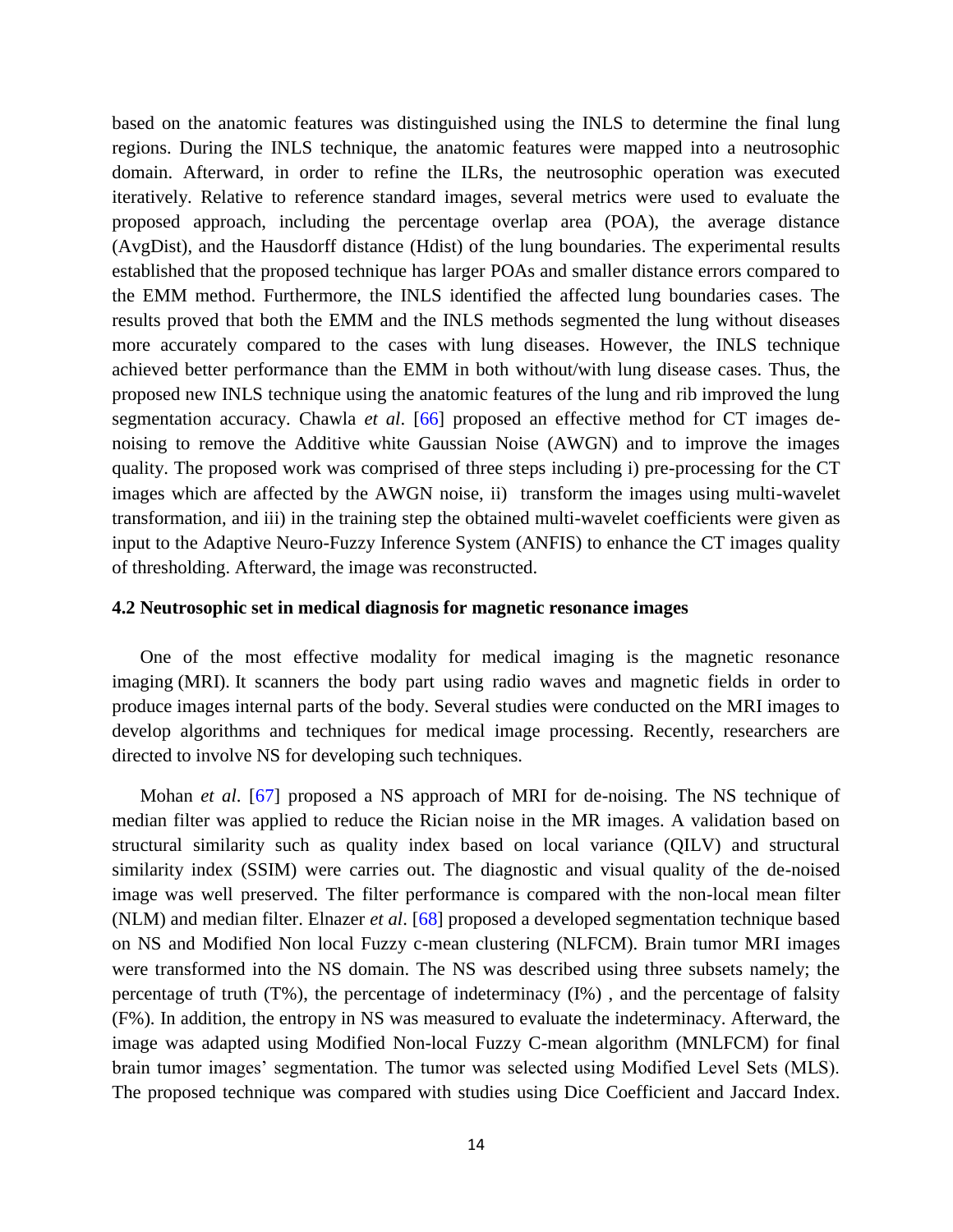based on the anatomic features was distinguished using the INLS to determine the final lung regions. During the INLS technique, the anatomic features were mapped into a neutrosophic domain. Afterward, in order to refine the ILRs, the neutrosophic operation was executed iteratively. Relative to reference standard images, several metrics were used to evaluate the proposed approach, including the percentage overlap area (POA), the average distance (AvgDist), and the Hausdorff distance (Hdist) of the lung boundaries. The experimental results established that the proposed technique has larger POAs and smaller distance errors compared to the EMM method. Furthermore, the INLS identified the affected lung boundaries cases. The results proved that both the EMM and the INLS methods segmented the lung without diseases more accurately compared to the cases with lung diseases. However, the INLS technique achieved better performance than the EMM in both without/with lung disease cases. Thus, the proposed new INLS technique using the anatomic features of the lung and rib improved the lung segmentation accuracy. Chawla *et al*. [66] proposed an effective method for CT images denoising to remove the Additive white Gaussian Noise (AWGN) and to improve the images quality. The proposed work was comprised of three steps including i) pre-processing for the CT images which are affected by the AWGN noise, ii) transform the images using multi-wavelet transformation, and iii) in the training step the obtained multi-wavelet coefficients were given as input to the Adaptive Neuro-Fuzzy Inference System (ANFIS) to enhance the CT images quality of thresholding. Afterward, the image was reconstructed.

### **4.2 Neutrosophic set in medical diagnosis for magnetic resonance images**

One of the most effective modality for medical imaging is the magnetic resonance imaging (MRI). It scanners the body part using radio waves and magnetic fields in order to produce images internal parts of the body. Several studies were conducted on the MRI images to develop algorithms and techniques for medical image processing. Recently, researchers are directed to involve NS for developing such techniques.

Mohan *et al*. [67] proposed a NS approach of MRI for de-noising. The NS technique of median filter was applied to reduce the Rician noise in the MR images. A validation based on structural similarity such as quality index based on local variance (QILV) and structural similarity index (SSIM) were carries out. The diagnostic and visual quality of the de-noised image was well preserved. The filter performance is compared with the non-local mean filter (NLM) and median filter. Elnazer *et al*. [68] proposed a developed segmentation technique based on NS and Modified Non local Fuzzy c-mean clustering (NLFCM). Brain tumor MRI images were transformed into the NS domain. The NS was described using three subsets namely; the percentage of truth (T%), the percentage of indeterminacy (I%) , and the percentage of falsity (F%). In addition, the entropy in NS was measured to evaluate the indeterminacy. Afterward, the image was adapted using Modified Non-local Fuzzy C-mean algorithm (MNLFCM) for final brain tumor images" segmentation. The tumor was selected using Modified Level Sets (MLS). The proposed technique was compared with studies using Dice Coefficient and Jaccard Index.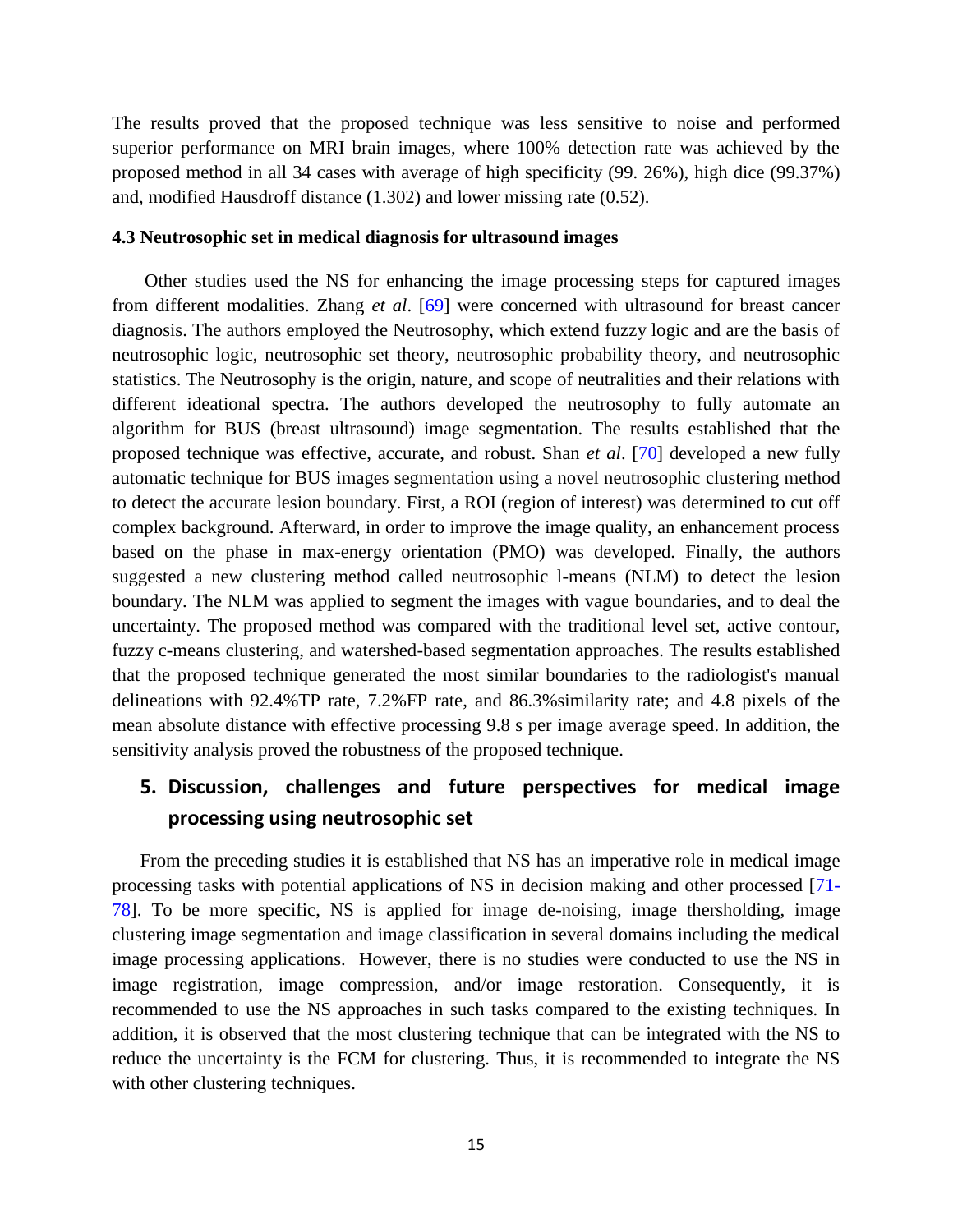The results proved that the proposed technique was less sensitive to noise and performed superior performance on MRI brain images, where 100% detection rate was achieved by the proposed method in all 34 cases with average of high specificity (99. 26%), high dice (99.37%) and, modified Hausdroff distance (1.302) and lower missing rate (0.52).

#### **4.3 Neutrosophic set in medical diagnosis for ultrasound images**

 Other studies used the NS for enhancing the image processing steps for captured images from different modalities. Zhang *et al*. [69] were concerned with ultrasound for breast cancer diagnosis. The authors employed the Neutrosophy, which extend fuzzy logic and are the basis of neutrosophic logic, neutrosophic set theory, neutrosophic probability theory, and neutrosophic statistics. The Neutrosophy is the origin, nature, and scope of neutralities and their relations with different ideational spectra. The authors developed the neutrosophy to fully automate an algorithm for BUS (breast ultrasound) image segmentation. The results established that the proposed technique was effective, accurate, and robust. Shan *et al*. [70] developed a new fully automatic technique for BUS images segmentation using a novel neutrosophic clustering method to detect the accurate lesion boundary. First, a ROI (region of interest) was determined to cut off complex background. Afterward, in order to improve the image quality, an enhancement process based on the phase in max-energy orientation (PMO) was developed. Finally, the authors suggested a new clustering method called neutrosophic l-means (NLM) to detect the lesion boundary. The NLM was applied to segment the images with vague boundaries, and to deal the uncertainty. The proposed method was compared with the traditional level set, active contour, fuzzy c-means clustering, and watershed-based segmentation approaches. The results established that the proposed technique generated the most similar boundaries to the radiologist's manual delineations with 92.4%TP rate, 7.2%FP rate, and 86.3%similarity rate; and 4.8 pixels of the mean absolute distance with effective processing 9.8 s per image average speed. In addition, the sensitivity analysis proved the robustness of the proposed technique.

## **5. Discussion, challenges and future perspectives for medical image processing using neutrosophic set**

From the preceding studies it is established that NS has an imperative role in medical image processing tasks with potential applications of NS in decision making and other processed [71- 78]. To be more specific, NS is applied for image de-noising, image thersholding, image clustering image segmentation and image classification in several domains including the medical image processing applications. However, there is no studies were conducted to use the NS in image registration, image compression, and/or image restoration. Consequently, it is recommended to use the NS approaches in such tasks compared to the existing techniques. In addition, it is observed that the most clustering technique that can be integrated with the NS to reduce the uncertainty is the FCM for clustering. Thus, it is recommended to integrate the NS with other clustering techniques.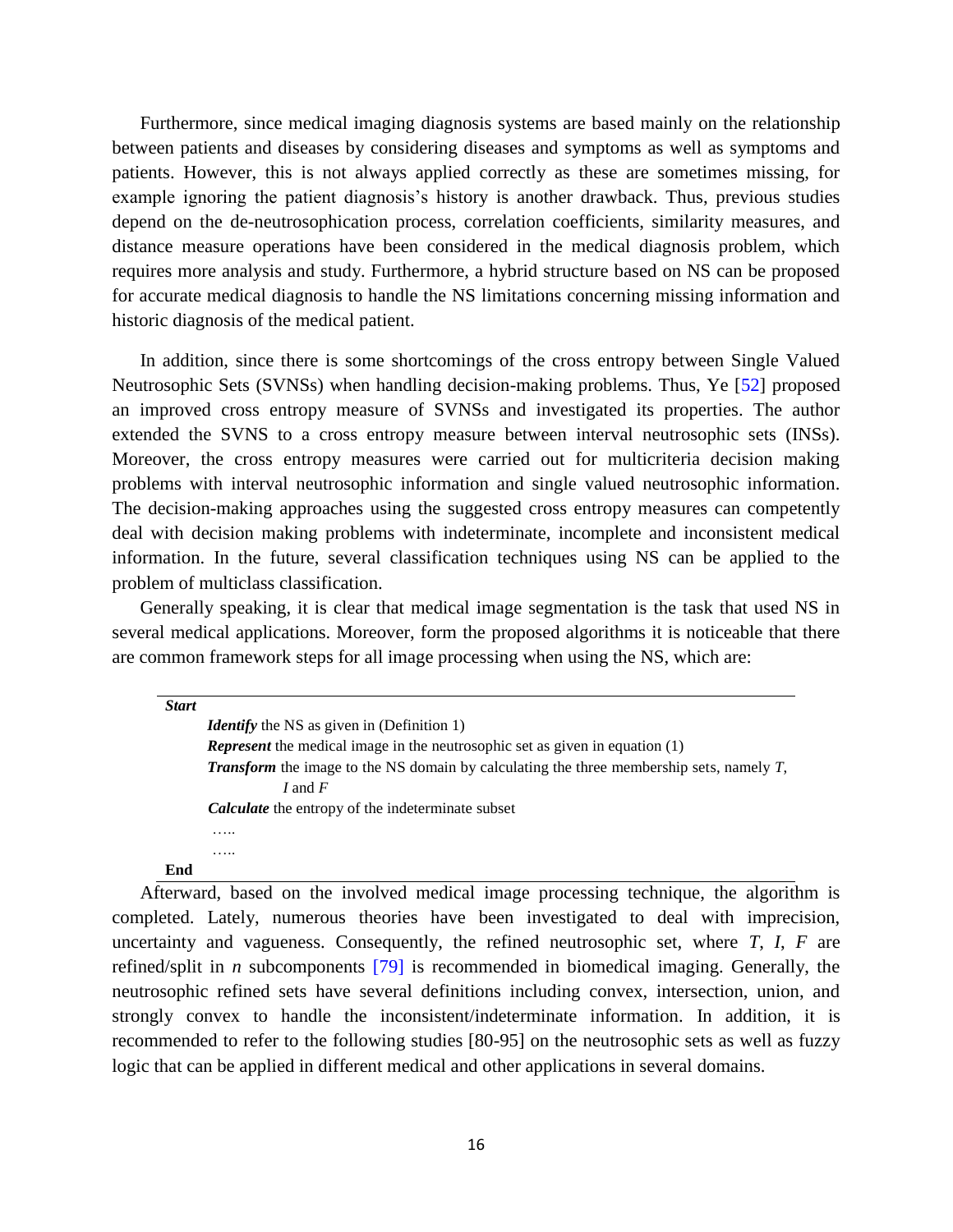Furthermore, since medical imaging diagnosis systems are based mainly on the relationship between patients and diseases by considering diseases and symptoms as well as symptoms and patients. However, this is not always applied correctly as these are sometimes missing, for example ignoring the patient diagnosis's history is another drawback. Thus, previous studies depend on the de-neutrosophication process, correlation coefficients, similarity measures, and distance measure operations have been considered in the medical diagnosis problem, which requires more analysis and study. Furthermore, a hybrid structure based on NS can be proposed for accurate medical diagnosis to handle the NS limitations concerning missing information and historic diagnosis of the medical patient.

In addition, since there is some shortcomings of the cross entropy between Single Valued Neutrosophic Sets (SVNSs) when handling decision-making problems. Thus, Ye [52] proposed an improved cross entropy measure of SVNSs and investigated its properties. The author extended the SVNS to a cross entropy measure between interval neutrosophic sets (INSs). Moreover, the cross entropy measures were carried out for multicriteria decision making problems with interval neutrosophic information and single valued neutrosophic information. The decision-making approaches using the suggested cross entropy measures can competently deal with decision making problems with indeterminate, incomplete and inconsistent medical information. In the future, several classification techniques using NS can be applied to the problem of multiclass classification.

Generally speaking, it is clear that medical image segmentation is the task that used NS in several medical applications. Moreover, form the proposed algorithms it is noticeable that there are common framework steps for all image processing when using the NS, which are:

| <b>Start</b>                                                                                    |  |  |  |  |
|-------------------------------------------------------------------------------------------------|--|--|--|--|
| <i>Identify</i> the NS as given in (Definition 1)                                               |  |  |  |  |
| <b>Represent</b> the medical image in the neutrosophic set as given in equation (1)             |  |  |  |  |
| <b>Transform</b> the image to the NS domain by calculating the three membership sets, namely T, |  |  |  |  |
| I and $F$                                                                                       |  |  |  |  |
| <b>Calculate</b> the entropy of the indeterminate subset                                        |  |  |  |  |
| .                                                                                               |  |  |  |  |
| .                                                                                               |  |  |  |  |
| End                                                                                             |  |  |  |  |

Afterward, based on the involved medical image processing technique, the algorithm is completed. Lately, numerous theories have been investigated to deal with imprecision, uncertainty and vagueness. Consequently, the refined neutrosophic set, where *T*, *I*, *F* are refined/split in *n* subcomponents [79] is recommended in biomedical imaging. Generally, the neutrosophic refined sets have several definitions including convex, intersection, union, and strongly convex to handle the inconsistent/indeterminate information. In addition, it is recommended to refer to the following studies [80-95] on the neutrosophic sets as well as fuzzy logic that can be applied in different medical and other applications in several domains.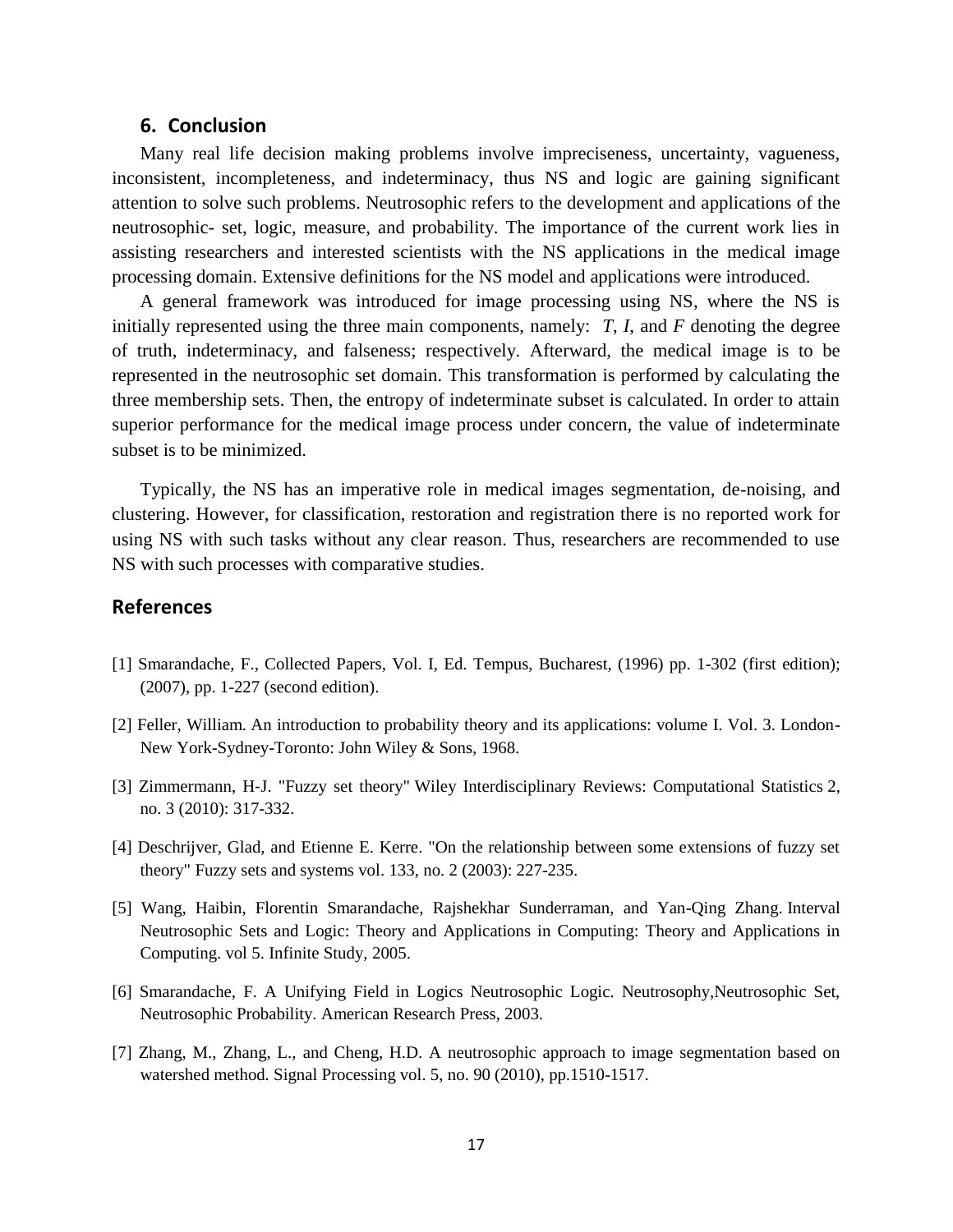## **6. Conclusion**

Many real life decision making problems involve impreciseness, uncertainty, vagueness, inconsistent, incompleteness, and indeterminacy, thus NS and logic are gaining significant attention to solve such problems. Neutrosophic refers to the development and applications of the neutrosophic- set, logic, measure, and probability. The importance of the current work lies in assisting researchers and interested scientists with the NS applications in the medical image processing domain. Extensive definitions for the NS model and applications were introduced.

A general framework was introduced for image processing using NS, where the NS is initially represented using the three main components, namely: *T*, *I*, and *F* denoting the degree of truth, indeterminacy, and falseness; respectively. Afterward, the medical image is to be represented in the neutrosophic set domain. This transformation is performed by calculating the three membership sets. Then, the entropy of indeterminate subset is calculated. In order to attain superior performance for the medical image process under concern, the value of indeterminate subset is to be minimized.

Typically, the NS has an imperative role in medical images segmentation, de-noising, and clustering. However, for classification, restoration and registration there is no reported work for using NS with such tasks without any clear reason. Thus, researchers are recommended to use NS with such processes with comparative studies.

## **References**

- [1] Smarandache, F., Collected Papers, Vol. I, Ed. Tempus, Bucharest, (1996) pp. 1-302 (first edition); (2007), pp. 1-227 (second edition).
- [2] Feller, William. An introduction to probability theory and its applications: volume I. Vol. 3. London-New York-Sydney-Toronto: John Wiley & Sons, 1968.
- [3] Zimmermann, H-J. "Fuzzy set theory" Wiley Interdisciplinary Reviews: Computational Statistics 2, no. 3 (2010): 317-332.
- [4] Deschrijver, Glad, and Etienne E. Kerre. "On the relationship between some extensions of fuzzy set theory" Fuzzy sets and systems vol. 133, no. 2 (2003): 227-235.
- [5] Wang, Haibin, Florentin Smarandache, Rajshekhar Sunderraman, and Yan-Qing Zhang. Interval Neutrosophic Sets and Logic: Theory and Applications in Computing: Theory and Applications in Computing. vol 5. Infinite Study, 2005.
- [6] Smarandache, F. A Unifying Field in Logics Neutrosophic Logic. Neutrosophy,Neutrosophic Set, Neutrosophic Probability. American Research Press, 2003.
- [7] Zhang, M., Zhang, L., and Cheng, H.D. A neutrosophic approach to image segmentation based on watershed method. Signal Processing vol. 5, no. 90 (2010), pp.1510-1517.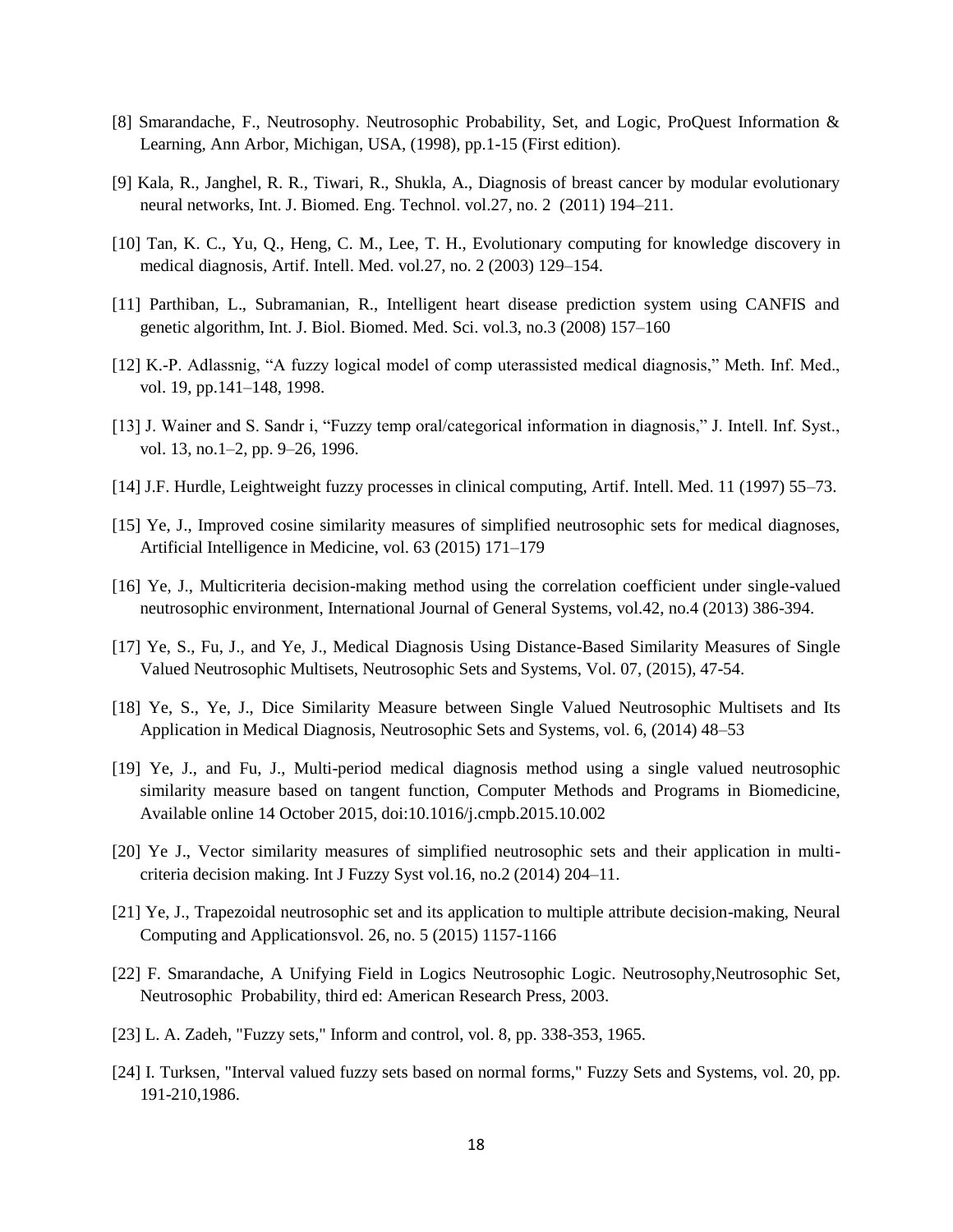- [8] Smarandache, F., Neutrosophy. Neutrosophic Probability, Set, and Logic, ProQuest Information & Learning, Ann Arbor, Michigan, USA, (1998), pp.1-15 (First edition).
- [9] Kala, R., Janghel, R. R., Tiwari, R., Shukla, A., Diagnosis of breast cancer by modular evolutionary neural networks, Int. J. Biomed. Eng. Technol. vol.27, no. 2 (2011) 194–211.
- [10] Tan, K. C., Yu, Q., Heng, C. M., Lee, T. H., Evolutionary computing for knowledge discovery in medical diagnosis, Artif. Intell. Med. vol.27, no. 2 (2003) 129–154.
- [11] Parthiban, L., Subramanian, R., Intelligent heart disease prediction system using CANFIS and genetic algorithm, Int. J. Biol. Biomed. Med. Sci. vol.3, no.3 (2008) 157–160
- [12] K.-P. Adlassnig, "A fuzzy logical model of comp uterassisted medical diagnosis," Meth. Inf. Med., vol. 19, pp.141–148, 1998.
- [13] J. Wainer and S. Sandr i, "Fuzzy temp oral/categorical information in diagnosis," J. Intell. Inf. Syst., vol. 13, no.1–2, pp. 9–26, 1996.
- [14] J.F. Hurdle, Leightweight fuzzy processes in clinical computing, Artif. Intell. Med. 11 (1997) 55–73.
- [15] Ye, J., Improved cosine similarity measures of simplified neutrosophic sets for medical diagnoses, Artificial Intelligence in Medicine, vol. 63 (2015) 171–179
- [16] Ye, J., Multicriteria decision-making method using the correlation coefficient under single-valued neutrosophic environment, International Journal of General Systems, vol.42, no.4 (2013) 386-394.
- [17] Ye, S., Fu, J., and Ye, J., Medical Diagnosis Using Distance-Based Similarity Measures of Single Valued Neutrosophic Multisets, Neutrosophic Sets and Systems, Vol. 07, (2015), 47-54.
- [18] Ye, S., Ye, J., Dice Similarity Measure between Single Valued Neutrosophic Multisets and Its Application in Medical Diagnosis, Neutrosophic Sets and Systems, vol. 6, (2014) 48–53
- [19] Ye, J., and Fu, J., Multi-period medical diagnosis method using a single valued neutrosophic similarity measure based on tangent function, Computer Methods and Programs in Biomedicine, Available online 14 October 2015, doi:10.1016/j.cmpb.2015.10.002
- [20] Ye J., Vector similarity measures of simplified neutrosophic sets and their application in multicriteria decision making. Int J Fuzzy Syst vol.16, no.2 (2014) 204–11.
- [21] Ye, J., Trapezoidal neutrosophic set and its application to multiple attribute decision-making, Neural Computing and Applicationsvol. 26, no. 5 (2015) 1157-1166
- [22] F. Smarandache, A Unifying Field in Logics Neutrosophic Logic. Neutrosophy,Neutrosophic Set, Neutrosophic Probability, third ed: American Research Press, 2003.
- [23] L. A. Zadeh, "Fuzzy sets," Inform and control, vol. 8, pp. 338-353, 1965.
- [24] I. Turksen, "Interval valued fuzzy sets based on normal forms," Fuzzy Sets and Systems, vol. 20, pp. 191-210,1986.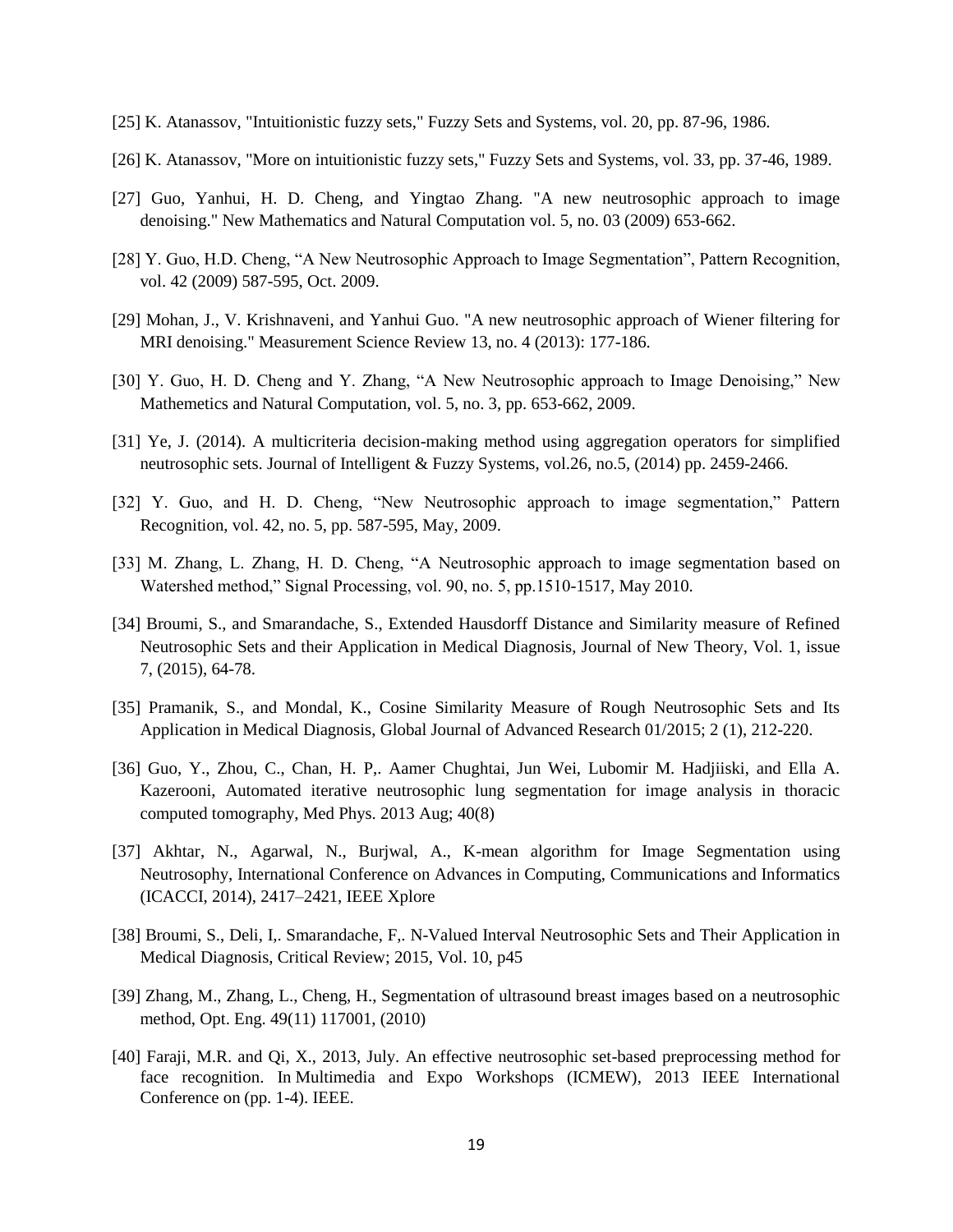- [25] K. Atanassov, "Intuitionistic fuzzy sets," Fuzzy Sets and Systems, vol. 20, pp. 87-96, 1986.
- [26] K. Atanassov, "More on intuitionistic fuzzy sets," Fuzzy Sets and Systems, vol. 33, pp. 37-46, 1989.
- [27] Guo, Yanhui, H. D. Cheng, and Yingtao Zhang. "A new neutrosophic approach to image denoising." New Mathematics and Natural Computation vol. 5, no. 03 (2009) 653-662.
- [28] Y. Guo, H.D. Cheng, "A New Neutrosophic Approach to Image Segmentation", Pattern Recognition, vol. 42 (2009) 587-595, Oct. 2009.
- [29] Mohan, J., V. Krishnaveni, and Yanhui Guo. "A new neutrosophic approach of Wiener filtering for MRI denoising." Measurement Science Review 13, no. 4 (2013): 177-186.
- [30] Y. Guo, H. D. Cheng and Y. Zhang, "A New Neutrosophic approach to Image Denoising," New Mathemetics and Natural Computation, vol. 5, no. 3, pp. 653-662, 2009.
- [31] Ye, J. (2014). A multicriteria decision-making method using aggregation operators for simplified neutrosophic sets. Journal of Intelligent & Fuzzy Systems, vol.26, no.5, (2014) pp. 2459-2466.
- [32] Y. Guo, and H. D. Cheng, "New Neutrosophic approach to image segmentation," Pattern Recognition, vol. 42, no. 5, pp. 587-595, May, 2009.
- [33] M. Zhang, L. Zhang, H. D. Cheng, "A Neutrosophic approach to image segmentation based on Watershed method," Signal Processing, vol. 90, no. 5, pp.1510-1517, May 2010.
- [34] Broumi, S., and Smarandache, S., Extended Hausdorff Distance and Similarity measure of Refined Neutrosophic Sets and their Application in Medical Diagnosis, Journal of New Theory, Vol. 1, issue 7, (2015), 64-78.
- [35] Pramanik, S., and Mondal, K., Cosine Similarity Measure of Rough Neutrosophic Sets and Its Application in Medical Diagnosis, Global Journal of Advanced Research 01/2015; 2 (1), 212-220.
- [36] Guo, Y., Zhou, C., Chan, H. P,. Aamer Chughtai, Jun Wei, Lubomir M. Hadjiiski, and Ella A. Kazerooni, Automated iterative neutrosophic lung segmentation for image analysis in thoracic computed tomography, Med Phys. 2013 Aug; 40(8)
- [37] Akhtar, N., Agarwal, N., Burjwal, A., K-mean algorithm for Image Segmentation using Neutrosophy, International Conference on Advances in Computing, Communications and Informatics (ICACCI, 2014), 2417–2421, IEEE Xplore
- [38] Broumi, S., Deli, I,. Smarandache, F,. N-Valued Interval Neutrosophic Sets and Their Application in Medical Diagnosis, Critical Review; 2015, Vol. 10, p45
- [39] Zhang, M., Zhang, L., Cheng, H., Segmentation of ultrasound breast images based on a neutrosophic method, Opt. Eng. 49(11) 117001, (2010)
- [40] Faraji, M.R. and Qi, X., 2013, July. An effective neutrosophic set-based preprocessing method for face recognition. In Multimedia and Expo Workshops (ICMEW), 2013 IEEE International Conference on (pp. 1-4). IEEE.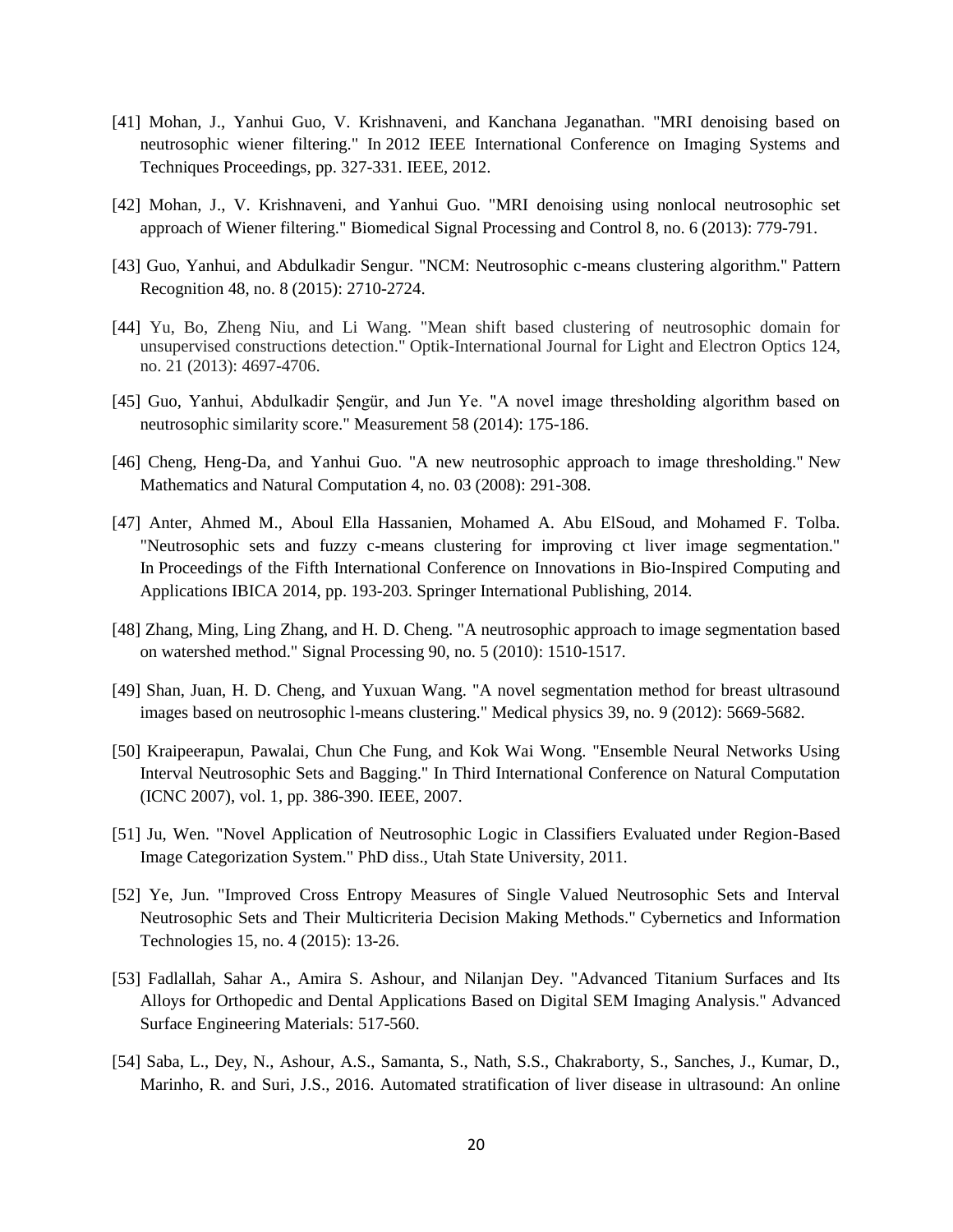- [41] Mohan, J., Yanhui Guo, V. Krishnaveni, and Kanchana Jeganathan. "MRI denoising based on neutrosophic wiener filtering." In 2012 IEEE International Conference on Imaging Systems and Techniques Proceedings, pp. 327-331. IEEE, 2012.
- [42] Mohan, J., V. Krishnaveni, and Yanhui Guo. "MRI denoising using nonlocal neutrosophic set approach of Wiener filtering." Biomedical Signal Processing and Control 8, no. 6 (2013): 779-791.
- [43] Guo, Yanhui, and Abdulkadir Sengur. "NCM: Neutrosophic c-means clustering algorithm." Pattern Recognition 48, no. 8 (2015): 2710-2724.
- [44] Yu, Bo, Zheng Niu, and Li Wang. "Mean shift based clustering of neutrosophic domain for unsupervised constructions detection." Optik-International Journal for Light and Electron Optics 124, no. 21 (2013): 4697-4706.
- [45] Guo, Yanhui, Abdulkadir Şengür, and Jun Ye. "A novel image thresholding algorithm based on neutrosophic similarity score." Measurement 58 (2014): 175-186.
- [46] Cheng, Heng-Da, and Yanhui Guo. "A new neutrosophic approach to image thresholding." New Mathematics and Natural Computation 4, no. 03 (2008): 291-308.
- [47] Anter, Ahmed M., Aboul Ella Hassanien, Mohamed A. Abu ElSoud, and Mohamed F. Tolba. "Neutrosophic sets and fuzzy c-means clustering for improving ct liver image segmentation." In Proceedings of the Fifth International Conference on Innovations in Bio-Inspired Computing and Applications IBICA 2014, pp. 193-203. Springer International Publishing, 2014.
- [48] Zhang, Ming, Ling Zhang, and H. D. Cheng. "A neutrosophic approach to image segmentation based on watershed method." Signal Processing 90, no. 5 (2010): 1510-1517.
- [49] Shan, Juan, H. D. Cheng, and Yuxuan Wang. "A novel segmentation method for breast ultrasound images based on neutrosophic l-means clustering." Medical physics 39, no. 9 (2012): 5669-5682.
- [50] Kraipeerapun, Pawalai, Chun Che Fung, and Kok Wai Wong. "Ensemble Neural Networks Using Interval Neutrosophic Sets and Bagging." In Third International Conference on Natural Computation (ICNC 2007), vol. 1, pp. 386-390. IEEE, 2007.
- [51] Ju, Wen. "Novel Application of Neutrosophic Logic in Classifiers Evaluated under Region-Based Image Categorization System." PhD diss., Utah State University, 2011.
- [52] Ye, Jun. "Improved Cross Entropy Measures of Single Valued Neutrosophic Sets and Interval Neutrosophic Sets and Their Multicriteria Decision Making Methods." Cybernetics and Information Technologies 15, no. 4 (2015): 13-26.
- [53] Fadlallah, Sahar A., Amira S. Ashour, and Nilanjan Dey. "Advanced Titanium Surfaces and Its Alloys for Orthopedic and Dental Applications Based on Digital SEM Imaging Analysis." Advanced Surface Engineering Materials: 517-560.
- [54] Saba, L., Dey, N., Ashour, A.S., Samanta, S., Nath, S.S., Chakraborty, S., Sanches, J., Kumar, D., Marinho, R. and Suri, J.S., 2016. Automated stratification of liver disease in ultrasound: An online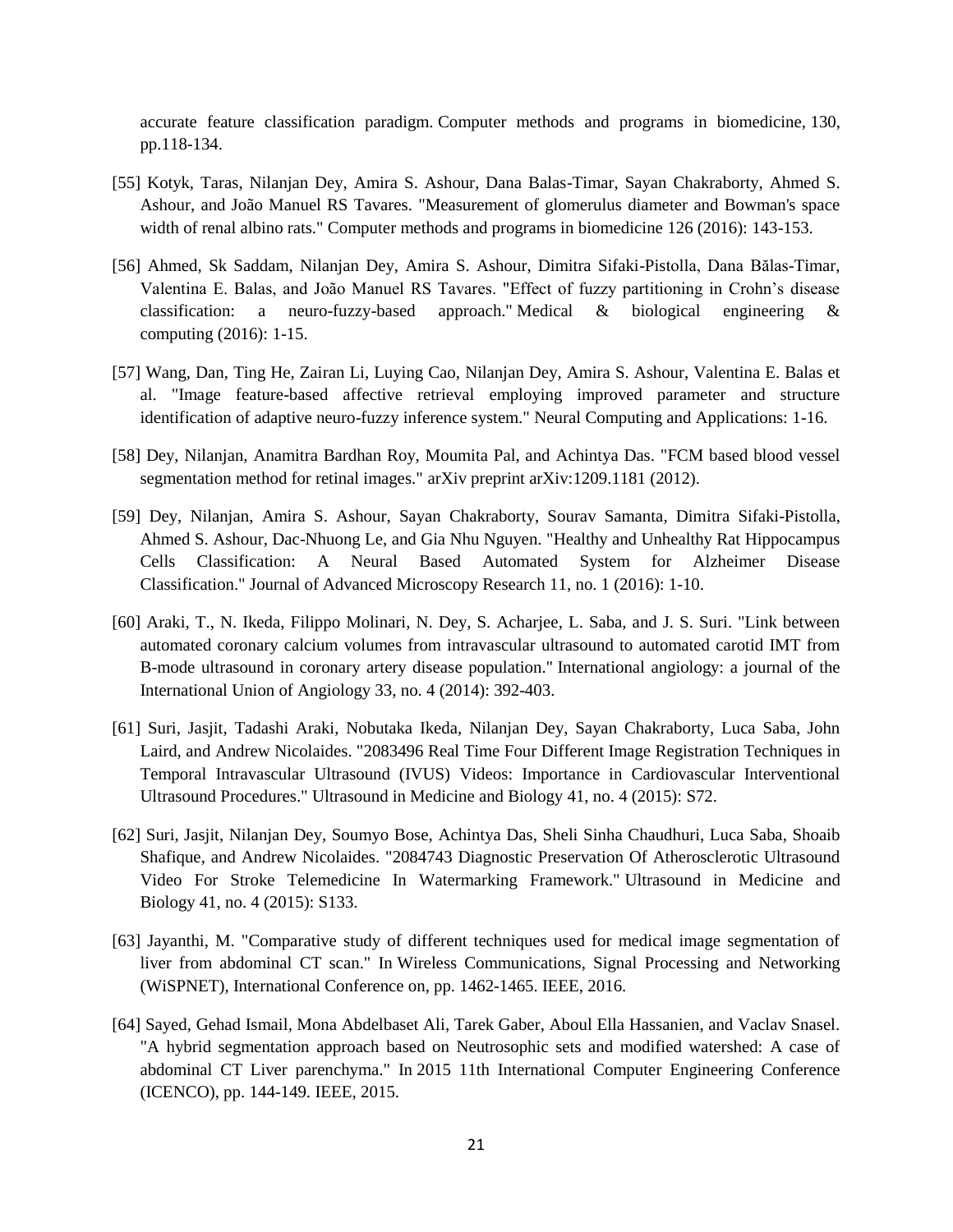accurate feature classification paradigm. Computer methods and programs in biomedicine, 130, pp.118-134.

- [55] Kotyk, Taras, Nilanjan Dey, Amira S. Ashour, Dana Balas-Timar, Sayan Chakraborty, Ahmed S. Ashour, and João Manuel RS Tavares. "Measurement of glomerulus diameter and Bowman's space width of renal albino rats." Computer methods and programs in biomedicine 126 (2016): 143-153.
- [56] Ahmed, Sk Saddam, Nilanjan Dey, Amira S. Ashour, Dimitra Sifaki-Pistolla, Dana Bălas-Timar, Valentina E. Balas, and João Manuel RS Tavares. "Effect of fuzzy partitioning in Crohn"s disease classification: a neuro-fuzzy-based approach." Medical & biological engineering & computing (2016): 1-15.
- [57] Wang, Dan, Ting He, Zairan Li, Luying Cao, Nilanjan Dey, Amira S. Ashour, Valentina E. Balas et al. "Image feature-based affective retrieval employing improved parameter and structure identification of adaptive neuro-fuzzy inference system." Neural Computing and Applications: 1-16.
- [58] Dey, Nilanjan, Anamitra Bardhan Roy, Moumita Pal, and Achintya Das. "FCM based blood vessel segmentation method for retinal images." arXiv preprint arXiv:1209.1181 (2012).
- [59] Dey, Nilanjan, Amira S. Ashour, Sayan Chakraborty, Sourav Samanta, Dimitra Sifaki-Pistolla, Ahmed S. Ashour, Dac-Nhuong Le, and Gia Nhu Nguyen. "Healthy and Unhealthy Rat Hippocampus Cells Classification: A Neural Based Automated System for Alzheimer Disease Classification." Journal of Advanced Microscopy Research 11, no. 1 (2016): 1-10.
- [60] Araki, T., N. Ikeda, Filippo Molinari, N. Dey, S. Acharjee, L. Saba, and J. S. Suri. "Link between automated coronary calcium volumes from intravascular ultrasound to automated carotid IMT from B-mode ultrasound in coronary artery disease population." International angiology: a journal of the International Union of Angiology 33, no. 4 (2014): 392-403.
- [61] Suri, Jasjit, Tadashi Araki, Nobutaka Ikeda, Nilanjan Dey, Sayan Chakraborty, Luca Saba, John Laird, and Andrew Nicolaides. "2083496 Real Time Four Different Image Registration Techniques in Temporal Intravascular Ultrasound (IVUS) Videos: Importance in Cardiovascular Interventional Ultrasound Procedures." Ultrasound in Medicine and Biology 41, no. 4 (2015): S72.
- [62] Suri, Jasjit, Nilanjan Dey, Soumyo Bose, Achintya Das, Sheli Sinha Chaudhuri, Luca Saba, Shoaib Shafique, and Andrew Nicolaides. "2084743 Diagnostic Preservation Of Atherosclerotic Ultrasound Video For Stroke Telemedicine In Watermarking Framework." Ultrasound in Medicine and Biology 41, no. 4 (2015): S133.
- [63] Jayanthi, M. "Comparative study of different techniques used for medical image segmentation of liver from abdominal CT scan." In Wireless Communications, Signal Processing and Networking (WiSPNET), International Conference on, pp. 1462-1465. IEEE, 2016.
- [64] Sayed, Gehad Ismail, Mona Abdelbaset Ali, Tarek Gaber, Aboul Ella Hassanien, and Vaclav Snasel. "A hybrid segmentation approach based on Neutrosophic sets and modified watershed: A case of abdominal CT Liver parenchyma." In 2015 11th International Computer Engineering Conference (ICENCO), pp. 144-149. IEEE, 2015.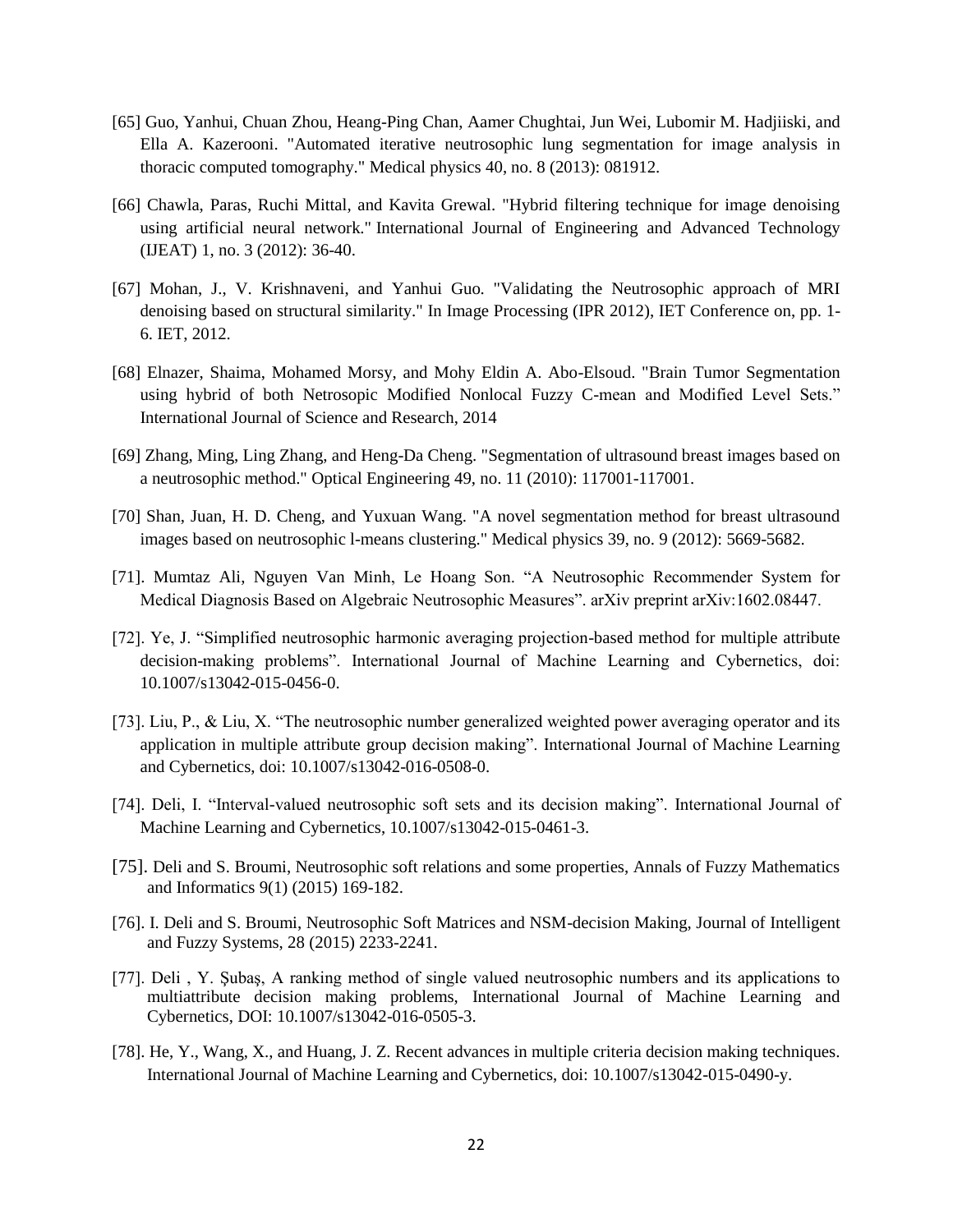- [65] Guo, Yanhui, Chuan Zhou, Heang-Ping Chan, Aamer Chughtai, Jun Wei, Lubomir M. Hadjiiski, and Ella A. Kazerooni. "Automated iterative neutrosophic lung segmentation for image analysis in thoracic computed tomography." Medical physics 40, no. 8 (2013): 081912.
- [66] Chawla, Paras, Ruchi Mittal, and Kavita Grewal. "Hybrid filtering technique for image denoising using artificial neural network." International Journal of Engineering and Advanced Technology (IJEAT) 1, no. 3 (2012): 36-40.
- [67] Mohan, J., V. Krishnaveni, and Yanhui Guo. "Validating the Neutrosophic approach of MRI denoising based on structural similarity." In Image Processing (IPR 2012), IET Conference on, pp. 1- 6. IET, 2012.
- [68] Elnazer, Shaima, Mohamed Morsy, and Mohy Eldin A. Abo-Elsoud. "Brain Tumor Segmentation using hybrid of both Netrosopic Modified Nonlocal Fuzzy C-mean and Modified Level Sets." International Journal of Science and Research, 2014
- [69] Zhang, Ming, Ling Zhang, and Heng-Da Cheng. "Segmentation of ultrasound breast images based on a neutrosophic method." Optical Engineering 49, no. 11 (2010): 117001-117001.
- [70] Shan, Juan, H. D. Cheng, and Yuxuan Wang. "A novel segmentation method for breast ultrasound images based on neutrosophic l-means clustering." Medical physics 39, no. 9 (2012): 5669-5682.
- [71]. Mumtaz Ali, Nguyen Van Minh, Le Hoang Son. "A Neutrosophic Recommender System for Medical Diagnosis Based on Algebraic Neutrosophic Measures". arXiv preprint arXiv:1602.08447.
- [72]. Ye, J. "Simplified neutrosophic harmonic averaging projection-based method for multiple attribute decision-making problems". International Journal of Machine Learning and Cybernetics, doi: 10.1007/s13042-015-0456-0.
- [73]. Liu, P., & Liu, X. "The neutrosophic number generalized weighted power averaging operator and its application in multiple attribute group decision making". International Journal of Machine Learning and Cybernetics, doi: 10.1007/s13042-016-0508-0.
- [74]. Deli, I. "Interval-valued neutrosophic soft sets and its decision making". International Journal of Machine Learning and Cybernetics, 10.1007/s13042-015-0461-3.
- [75]. Deli and S. Broumi, Neutrosophic soft relations and some properties, Annals of Fuzzy Mathematics and Informatics 9(1) (2015) 169-182.
- [76]. I. Deli and S. Broumi, Neutrosophic Soft Matrices and NSM-decision Making, Journal of Intelligent and Fuzzy Systems, 28 (2015) 2233-2241.
- [77]. Deli , Y. Şubaş, A ranking method of single valued neutrosophic numbers and its applications to multiattribute decision making problems, International Journal of Machine Learning and Cybernetics, DOI: 10.1007/s13042-016-0505-3.
- [78]. He, Y., Wang, X., and Huang, J. Z. Recent advances in multiple criteria decision making techniques. International Journal of Machine Learning and Cybernetics, doi: 10.1007/s13042-015-0490-y.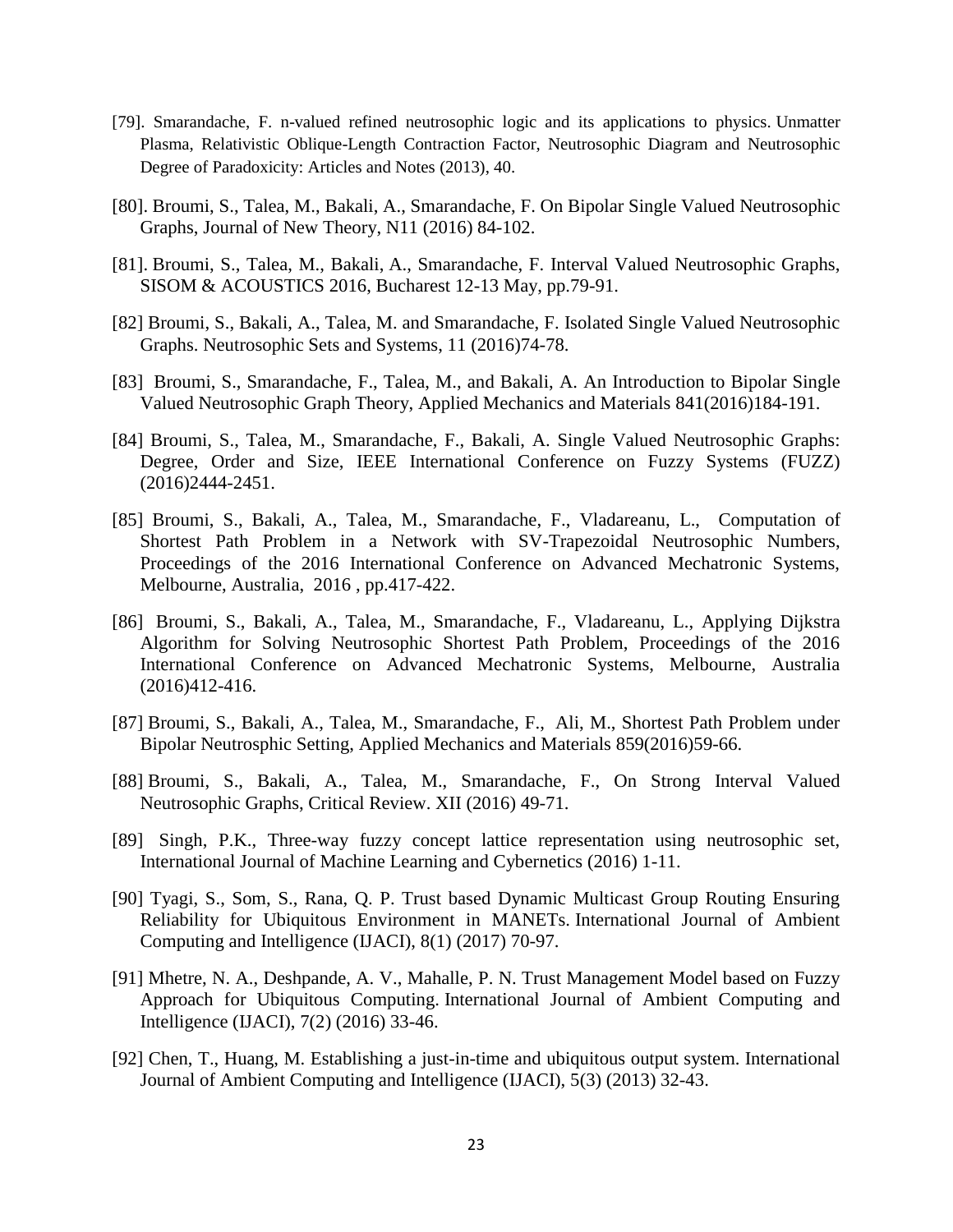- [79]. Smarandache, F. n-valued refined neutrosophic logic and its applications to physics. Unmatter Plasma, Relativistic Oblique-Length Contraction Factor, Neutrosophic Diagram and Neutrosophic Degree of Paradoxicity: Articles and Notes (2013), 40.
- [80]. Broumi, S., Talea, M., Bakali, A., Smarandache, F. On Bipolar Single Valued Neutrosophic Graphs, Journal of New Theory, N11 (2016) 84-102.
- [81]. Broumi, S., Talea, M., Bakali, A., Smarandache, F. Interval Valued Neutrosophic Graphs, SISOM & ACOUSTICS 2016, Bucharest 12-13 May, pp.79-91.
- [82] Broumi, S., Bakali, A., Talea, M. and Smarandache, F. Isolated Single Valued Neutrosophic Graphs. Neutrosophic Sets and Systems, 11 (2016)74-78.
- [83] Broumi, S., Smarandache, F., Talea, M., and Bakali, A. An Introduction to Bipolar Single Valued Neutrosophic Graph Theory, Applied Mechanics and Materials 841(2016)184-191.
- [84] Broumi, S., Talea, M., Smarandache, F., Bakali, A. Single Valued Neutrosophic Graphs: Degree, Order and Size, IEEE International Conference on Fuzzy Systems (FUZZ) (2016)2444-2451.
- [85] Broumi, S., Bakali, A., Talea, M., Smarandache, F., Vladareanu, L., Computation of Shortest Path Problem in a Network with SV-Trapezoidal Neutrosophic Numbers, Proceedings of the 2016 International Conference on Advanced Mechatronic Systems, Melbourne, Australia, 2016 , pp.417-422.
- [86] Broumi, S., Bakali, A., Talea, M., Smarandache, F., Vladareanu, L., Applying Dijkstra Algorithm for Solving Neutrosophic Shortest Path Problem, Proceedings of the 2016 International Conference on Advanced Mechatronic Systems, Melbourne, Australia (2016)412-416.
- [87] Broumi, S., Bakali, A., Talea, M., Smarandache, F., Ali, M., Shortest Path Problem under Bipolar Neutrosphic Setting, Applied Mechanics and Materials 859(2016)59-66.
- [88] Broumi, S., Bakali, A., Talea, M., Smarandache, F., On Strong Interval Valued Neutrosophic Graphs, Critical Review. XII (2016) 49-71.
- [89] Singh, P.K., Three-way fuzzy concept lattice representation using neutrosophic set, International Journal of Machine Learning and Cybernetics (2016) 1-11.
- [90] Tyagi, S., Som, S., Rana, Q. P. Trust based Dynamic Multicast Group Routing Ensuring Reliability for Ubiquitous Environment in MANETs. International Journal of Ambient Computing and Intelligence (IJACI), 8(1) (2017) 70-97.
- [91] Mhetre, N. A., Deshpande, A. V., Mahalle, P. N. Trust Management Model based on Fuzzy Approach for Ubiquitous Computing. International Journal of Ambient Computing and Intelligence (IJACI), 7(2) (2016) 33-46.
- [92] Chen, T., Huang, M. Establishing a just-in-time and ubiquitous output system. International Journal of Ambient Computing and Intelligence (IJACI), 5(3) (2013) 32-43.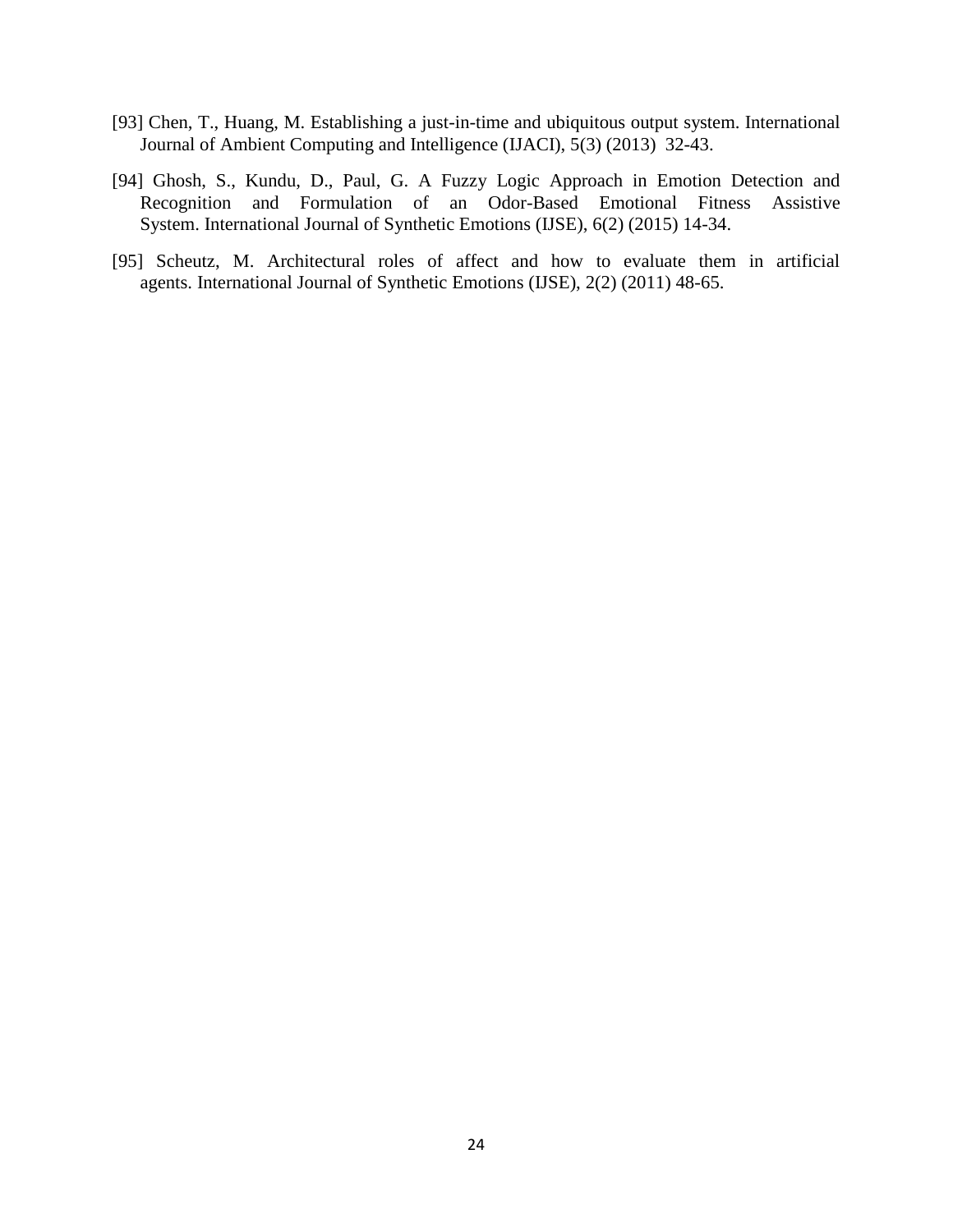- [93] Chen, T., Huang, M. Establishing a just-in-time and ubiquitous output system. International Journal of Ambient Computing and Intelligence (IJACI), 5(3) (2013) 32-43.
- [94] Ghosh, S., Kundu, D., Paul, G. A Fuzzy Logic Approach in Emotion Detection and Recognition and Formulation of an Odor-Based Emotional Fitness Assistive System. International Journal of Synthetic Emotions (IJSE), 6(2) (2015) 14-34.
- [95] Scheutz, M. Architectural roles of affect and how to evaluate them in artificial agents. International Journal of Synthetic Emotions (IJSE), 2(2) (2011) 48-65.